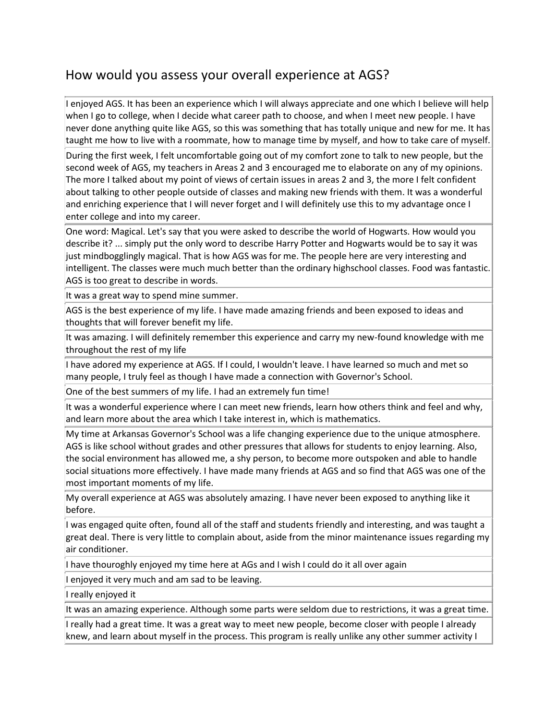## How would you assess your overall experience at AGS?

I enjoyed AGS. It has been an experience which I will always appreciate and one which I believe will help when I go to college, when I decide what career path to choose, and when I meet new people. I have never done anything quite like AGS, so this was something that has totally unique and new for me. It has taught me how to live with a roommate, how to manage time by myself, and how to take care of myself.

During the first week, I felt uncomfortable going out of my comfort zone to talk to new people, but the second week of AGS, my teachers in Areas 2 and 3 encouraged me to elaborate on any of my opinions. The more I talked about my point of views of certain issues in areas 2 and 3, the more I felt confident about talking to other people outside of classes and making new friends with them. It was a wonderful and enriching experience that I will never forget and I will definitely use this to my advantage once I enter college and into my career.

One word: Magical. Let's say that you were asked to describe the world of Hogwarts. How would you describe it? ... simply put the only word to describe Harry Potter and Hogwarts would be to say it was just mindbogglingly magical. That is how AGS was for me. The people here are very interesting and intelligent. The classes were much much better than the ordinary highschool classes. Food was fantastic. AGS is too great to describe in words.

It was a great way to spend mine summer.

AGS is the best experience of my life. I have made amazing friends and been exposed to ideas and thoughts that will forever benefit my life.

It was amazing. I will definitely remember this experience and carry my new-found knowledge with me throughout the rest of my life

I have adored my experience at AGS. If I could, I wouldn't leave. I have learned so much and met so many people, I truly feel as though I have made a connection with Governor's School.

One of the best summers of my life. I had an extremely fun time!

It was a wonderful experience where I can meet new friends, learn how others think and feel and why, and learn more about the area which I take interest in, which is mathematics.

My time at Arkansas Governor's School was a life changing experience due to the unique atmosphere. AGS is like school without grades and other pressures that allows for students to enjoy learning. Also, the social environment has allowed me, a shy person, to become more outspoken and able to handle social situations more effectively. I have made many friends at AGS and so find that AGS was one of the most important moments of my life.

My overall experience at AGS was absolutely amazing. I have never been exposed to anything like it before.

I was engaged quite often, found all of the staff and students friendly and interesting, and was taught a great deal. There is very little to complain about, aside from the minor maintenance issues regarding my air conditioner.

I have thouroghly enjoyed my time here at AGs and I wish I could do it all over again

I enjoyed it very much and am sad to be leaving.

I really enjoyed it

It was an amazing experience. Although some parts were seldom due to restrictions, it was a great time.

I really had a great time. It was a great way to meet new people, become closer with people I already knew, and learn about myself in the process. This program is really unlike any other summer activity I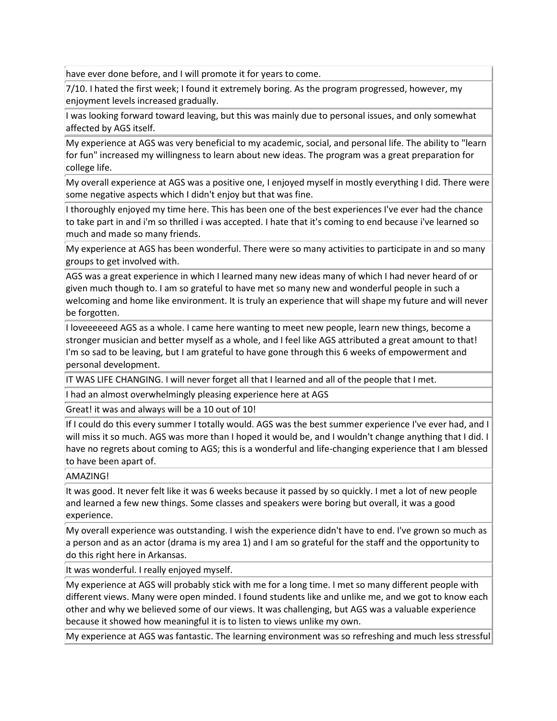have ever done before, and I will promote it for years to come.

7/10. I hated the first week; I found it extremely boring. As the program progressed, however, my enjoyment levels increased gradually.

I was looking forward toward leaving, but this was mainly due to personal issues, and only somewhat affected by AGS itself.

My experience at AGS was very beneficial to my academic, social, and personal life. The ability to "learn for fun" increased my willingness to learn about new ideas. The program was a great preparation for college life.

My overall experience at AGS was a positive one, I enjoyed myself in mostly everything I did. There were some negative aspects which I didn't enjoy but that was fine.

I thoroughly enjoyed my time here. This has been one of the best experiences I've ever had the chance to take part in and i'm so thrilled i was accepted. I hate that it's coming to end because i've learned so much and made so many friends.

My experience at AGS has been wonderful. There were so many activities to participate in and so many groups to get involved with.

AGS was a great experience in which I learned many new ideas many of which I had never heard of or given much though to. I am so grateful to have met so many new and wonderful people in such a welcoming and home like environment. It is truly an experience that will shape my future and will never be forgotten.

I loveeeeeed AGS as a whole. I came here wanting to meet new people, learn new things, become a stronger musician and better myself as a whole, and I feel like AGS attributed a great amount to that! I'm so sad to be leaving, but I am grateful to have gone through this 6 weeks of empowerment and personal development.

IT WAS LIFE CHANGING. I will never forget all that I learned and all of the people that I met.

I had an almost overwhelmingly pleasing experience here at AGS

Great! it was and always will be a 10 out of 10!

If I could do this every summer I totally would. AGS was the best summer experience I've ever had, and I will miss it so much. AGS was more than I hoped it would be, and I wouldn't change anything that I did. I have no regrets about coming to AGS; this is a wonderful and life-changing experience that I am blessed to have been apart of.

### AMAZING!

It was good. It never felt like it was 6 weeks because it passed by so quickly. I met a lot of new people and learned a few new things. Some classes and speakers were boring but overall, it was a good experience.

My overall experience was outstanding. I wish the experience didn't have to end. I've grown so much as a person and as an actor (drama is my area 1) and I am so grateful for the staff and the opportunity to do this right here in Arkansas.

It was wonderful. I really enjoyed myself.

My experience at AGS will probably stick with me for a long time. I met so many different people with different views. Many were open minded. I found students like and unlike me, and we got to know each other and why we believed some of our views. It was challenging, but AGS was a valuable experience because it showed how meaningful it is to listen to views unlike my own.

My experience at AGS was fantastic. The learning environment was so refreshing and much less stressful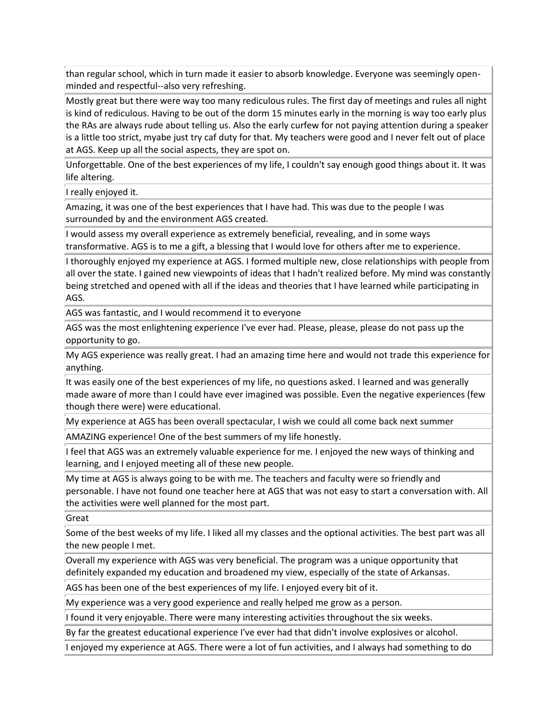than regular school, which in turn made it easier to absorb knowledge. Everyone was seemingly openminded and respectful--also very refreshing.

Mostly great but there were way too many rediculous rules. The first day of meetings and rules all night is kind of rediculous. Having to be out of the dorm 15 minutes early in the morning is way too early plus the RAs are always rude about telling us. Also the early curfew for not paying attention during a speaker is a little too strict, myabe just try caf duty for that. My teachers were good and I never felt out of place at AGS. Keep up all the social aspects, they are spot on.

Unforgettable. One of the best experiences of my life, I couldn't say enough good things about it. It was life altering.

I really enjoyed it.

Amazing, it was one of the best experiences that I have had. This was due to the people I was surrounded by and the environment AGS created.

I would assess my overall experience as extremely beneficial, revealing, and in some ways transformative. AGS is to me a gift, a blessing that I would love for others after me to experience.

I thoroughly enjoyed my experience at AGS. I formed multiple new, close relationships with people from all over the state. I gained new viewpoints of ideas that I hadn't realized before. My mind was constantly being stretched and opened with all if the ideas and theories that I have learned while participating in AGS.

AGS was fantastic, and I would recommend it to everyone

AGS was the most enlightening experience I've ever had. Please, please, please do not pass up the opportunity to go.

My AGS experience was really great. I had an amazing time here and would not trade this experience for anything.

It was easily one of the best experiences of my life, no questions asked. I learned and was generally made aware of more than I could have ever imagined was possible. Even the negative experiences (few though there were) were educational.

My experience at AGS has been overall spectacular, I wish we could all come back next summer

AMAZING experience! One of the best summers of my life honestly.

If feel that AGS was an extremely valuable experience for me. I enjoyed the new ways of thinking and learning, and I enjoyed meeting all of these new people.

My time at AGS is always going to be with me. The teachers and faculty were so friendly and personable. I have not found one teacher here at AGS that was not easy to start a conversation with. All the activities were well planned for the most part.

Great

Some of the best weeks of my life. I liked all my classes and the optional activities. The best part was all the new people I met.

Overall my experience with AGS was very beneficial. The program was a unique opportunity that definitely expanded my education and broadened my view, especially of the state of Arkansas.

AGS has been one of the best experiences of my life. I enjoyed every bit of it.

My experience was a very good experience and really helped me grow as a person.

I found it very enjoyable. There were many interesting activities throughout the six weeks.

By far the greatest educational experience I've ever had that didn't involve explosives or alcohol.

I enjoyed my experience at AGS. There were a lot of fun activities, and I always had something to do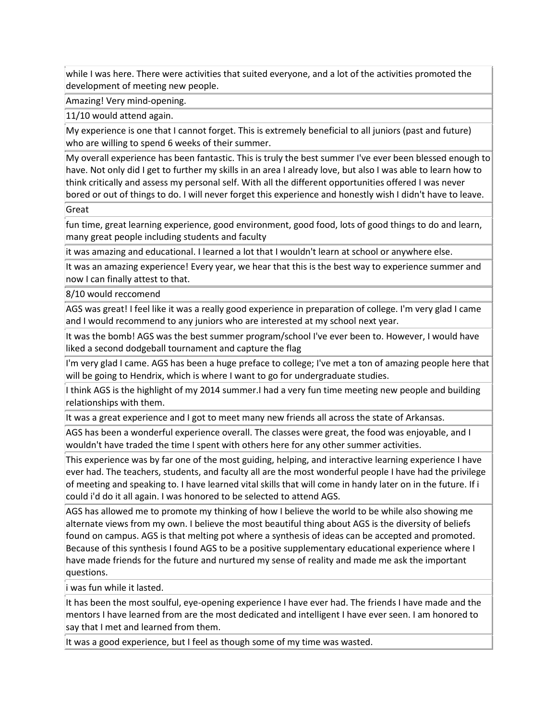while I was here. There were activities that suited everyone, and a lot of the activities promoted the development of meeting new people.

Amazing! Very mind-opening.

11/10 would attend again.

My experience is one that I cannot forget. This is extremely beneficial to all juniors (past and future) who are willing to spend 6 weeks of their summer.

My overall experience has been fantastic. This is truly the best summer I've ever been blessed enough to have. Not only did I get to further my skills in an area I already love, but also I was able to learn how to think critically and assess my personal self. With all the different opportunities offered I was never bored or out of things to do. I will never forget this experience and honestly wish I didn't have to leave.

**Great** 

fun time, great learning experience, good environment, good food, lots of good things to do and learn, many great people including students and faculty

it was amazing and educational. I learned a lot that I wouldn't learn at school or anywhere else.

It was an amazing experience! Every year, we hear that this is the best way to experience summer and now I can finally attest to that.

8/10 would reccomend

AGS was great! I feel like it was a really good experience in preparation of college. I'm very glad I came and I would recommend to any juniors who are interested at my school next year.

It was the bomb! AGS was the best summer program/school I've ever been to. However, I would have liked a second dodgeball tournament and capture the flag

I'm very glad I came. AGS has been a huge preface to college; I've met a ton of amazing people here that will be going to Hendrix, which is where I want to go for undergraduate studies.

I think AGS is the highlight of my 2014 summer.I had a very fun time meeting new people and building relationships with them.

It was a great experience and I got to meet many new friends all across the state of Arkansas.

AGS has been a wonderful experience overall. The classes were great, the food was enjoyable, and I wouldn't have traded the time I spent with others here for any other summer activities.

This experience was by far one of the most guiding, helping, and interactive learning experience I have ever had. The teachers, students, and faculty all are the most wonderful people I have had the privilege of meeting and speaking to. I have learned vital skills that will come in handy later on in the future. If i could i'd do it all again. I was honored to be selected to attend AGS.

AGS has allowed me to promote my thinking of how I believe the world to be while also showing me alternate views from my own. I believe the most beautiful thing about AGS is the diversity of beliefs found on campus. AGS is that melting pot where a synthesis of ideas can be accepted and promoted. Because of this synthesis I found AGS to be a positive supplementary educational experience where I have made friends for the future and nurtured my sense of reality and made me ask the important questions.

i was fun while it lasted.

It has been the most soulful, eye-opening experience I have ever had. The friends I have made and the mentors I have learned from are the most dedicated and intelligent I have ever seen. I am honored to say that I met and learned from them.

It was a good experience, but I feel as though some of my time was wasted.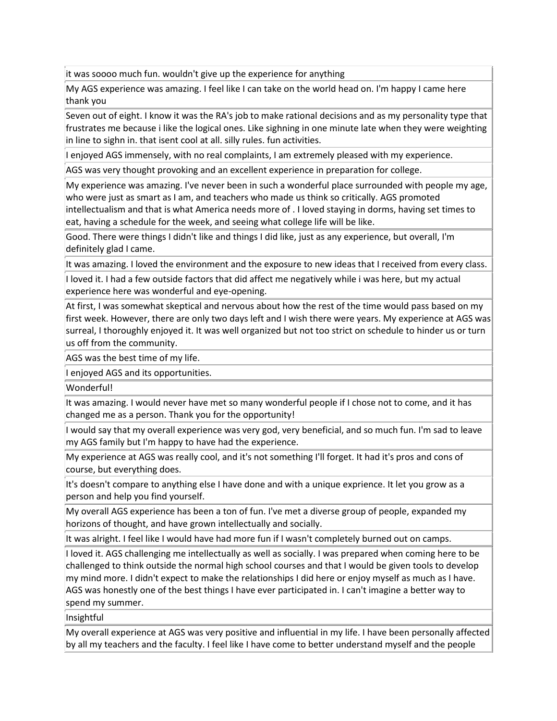it was soooo much fun. wouldn't give up the experience for anything

My AGS experience was amazing. I feel like I can take on the world head on. I'm happy I came here thank you

Seven out of eight. I know it was the RA's job to make rational decisions and as my personality type that frustrates me because i like the logical ones. Like sighning in one minute late when they were weighting in line to sighn in. that isent cool at all. silly rules. fun activities.

I enjoyed AGS immensely, with no real complaints, I am extremely pleased with my experience.

AGS was very thought provoking and an excellent experience in preparation for college.

My experience was amazing. I've never been in such a wonderful place surrounded with people my age, who were just as smart as I am, and teachers who made us think so critically. AGS promoted intellectualism and that is what America needs more of . I loved staying in dorms, having set times to eat, having a schedule for the week, and seeing what college life will be like.

Good. There were things I didn't like and things I did like, just as any experience, but overall, I'm definitely glad I came.

It was amazing. I loved the environment and the exposure to new ideas that I received from every class.

I loved it. I had a few outside factors that did affect me negatively while i was here, but my actual experience here was wonderful and eye-opening.

At first, I was somewhat skeptical and nervous about how the rest of the time would pass based on my first week. However, there are only two days left and I wish there were years. My experience at AGS was surreal, I thoroughly enjoyed it. It was well organized but not too strict on schedule to hinder us or turn us off from the community.

AGS was the best time of my life.

I enjoyed AGS and its opportunities.

Wonderful!

It was amazing. I would never have met so many wonderful people if I chose not to come, and it has changed me as a person. Thank you for the opportunity!

I would say that my overall experience was very god, very beneficial, and so much fun. I'm sad to leave my AGS family but I'm happy to have had the experience.

My experience at AGS was really cool, and it's not something I'll forget. It had it's pros and cons of course, but everything does.

It's doesn't compare to anything else I have done and with a unique exprience. It let you grow as a person and help you find yourself.

My overall AGS experience has been a ton of fun. I've met a diverse group of people, expanded my horizons of thought, and have grown intellectually and socially.

It was alright. I feel like I would have had more fun if I wasn't completely burned out on camps.

I loved it. AGS challenging me intellectually as well as socially. I was prepared when coming here to be challenged to think outside the normal high school courses and that I would be given tools to develop my mind more. I didn't expect to make the relationships I did here or enjoy myself as much as I have. AGS was honestly one of the best things I have ever participated in. I can't imagine a better way to spend my summer.

Insightful

My overall experience at AGS was very positive and influential in my life. I have been personally affected by all my teachers and the faculty. I feel like I have come to better understand myself and the people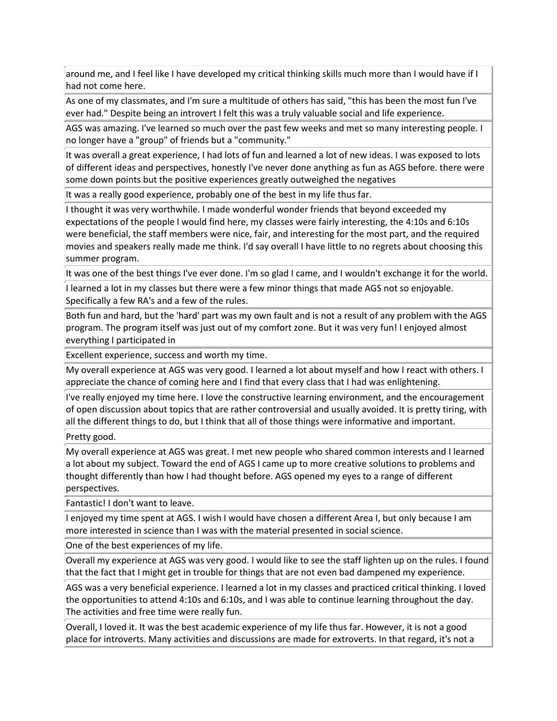around me, and I feel like I have developed my critical thinking skills much more than I would have if I had not come here.

As one of my classmates, and I'm sure a multitude of others has said, "this has been the most fun I've ever had." Despite being an introvert I felt this was a truly valuable social and life experience.

AGS was amazing. I've learned so much over the past few weeks and met so many interesting people. I no longer have a "group" of friends but a "community."

It was overall a great experience, I had lots of fun and learned a lot of new ideas. I was exposed to lots of different ideas and perspectives, honestly I've never done anything as fun as AGS before. there were some down points but the positive experiences greatly outweighed the negatives

It was a really good experience, probably one of the best in my life thus far.

I thought it was very worthwhile. I made wonderful wonder friends that beyond exceeded my expectations of the people I would find here, my classes were fairly interesting, the 4:10s and 6:10s were beneficial, the staff members were nice, fair, and interesting for the most part, and the required movies and speakers really made me think. I'd say overall I have little to no regrets about choosing this summer program.

It was one of the best things I've ever done. I'm so glad I came, and I wouldn't exchange it for the world.

I learned a lot in my classes but there were a few minor things that made AGS not so enjoyable. Specifically a few RA's and a few of the rules.

Both fun and hard, but the 'hard' part was my own fault and is not a result of any problem with the AGS program. The program itself was just out of my comfort zone. But it was very fun! I enjoyed almost everything I participated in

Excellent experience, success and worth my time.

My overall experience at AGS was very good. I learned a lot about myself and how I react with others. I appreciate the chance of coming here and I find that every class that I had was enlightening.

I've really enjoyed my time here. I love the constructive learning environment, and the encouragement of open discussion about topics that are rather controversial and usually avoided. It is pretty tiring, with all the different things to do, but I think that all of those things were informative and important.

Pretty good.

My overall experience at AGS was great. I met new people who shared common interests and I learned a lot about my subject. Toward the end of AGS I came up to more creative solutions to problems and thought differently than how I had thought before. AGS opened my eyes to a range of different perspectives.

Fantastic! I don't want to leave.

I enjoyed my time spent at AGS. I wish I would have chosen a different Area I, but only because I am more interested in science than I was with the material presented in social science.

One of the best experiences of my life.

Overall my experience at AGS was very good. I would like to see the staff lighten up on the rules. I found that the fact that I might get in trouble for things that are not even bad dampened my experience.

AGS was a very beneficial experience. I learned a lot in my classes and practiced critical thinking. I loved the opportunities to attend 4:10s and 6:10s, and I was able to continue learning throughout the day. The activities and free time were really fun.

Overall, I loved it. It was the best academic experience of my life thus far. However, it is not a good place for introverts. Many activities and discussions are made for extroverts. In that regard, it's not a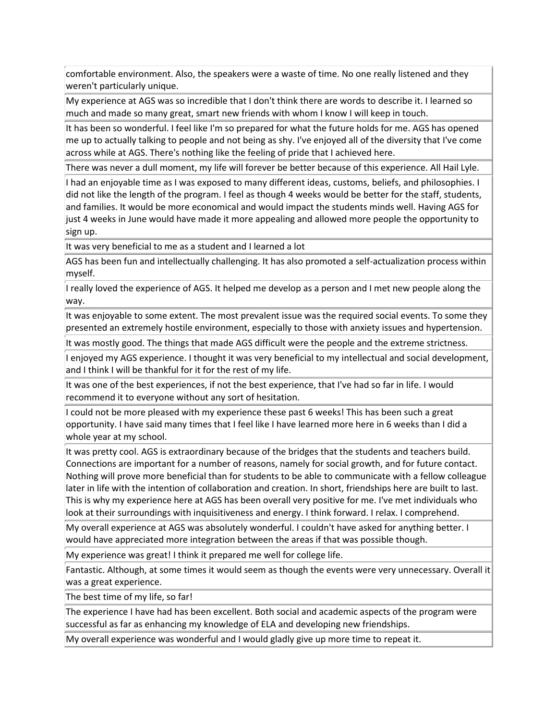comfortable environment. Also, the speakers were a waste of time. No one really listened and they weren't particularly unique.

My experience at AGS was so incredible that I don't think there are words to describe it. I learned so much and made so many great, smart new friends with whom I know I will keep in touch.

It has been so wonderful. I feel like I'm so prepared for what the future holds for me. AGS has opened me up to actually talking to people and not being as shy. I've enjoyed all of the diversity that I've come across while at AGS. There's nothing like the feeling of pride that I achieved here.

There was never a dull moment, my life will forever be better because of this experience. All Hail Lyle.

I had an enjoyable time as I was exposed to many different ideas, customs, beliefs, and philosophies. I did not like the length of the program. I feel as though 4 weeks would be better for the staff, students, and families. It would be more economical and would impact the students minds well. Having AGS for just 4 weeks in June would have made it more appealing and allowed more people the opportunity to sign up.

It was very beneficial to me as a student and I learned a lot

AGS has been fun and intellectually challenging. It has also promoted a self-actualization process within myself.

I really loved the experience of AGS. It helped me develop as a person and I met new people along the way.

It was enjoyable to some extent. The most prevalent issue was the required social events. To some they presented an extremely hostile environment, especially to those with anxiety issues and hypertension.

It was mostly good. The things that made AGS difficult were the people and the extreme strictness.

I enjoyed my AGS experience. I thought it was very beneficial to my intellectual and social development, and I think I will be thankful for it for the rest of my life.

It was one of the best experiences, if not the best experience, that I've had so far in life. I would recommend it to everyone without any sort of hesitation.

I could not be more pleased with my experience these past 6 weeks! This has been such a great opportunity. I have said many times that I feel like I have learned more here in 6 weeks than I did a whole year at my school.

It was pretty cool. AGS is extraordinary because of the bridges that the students and teachers build. Connections are important for a number of reasons, namely for social growth, and for future contact. Nothing will prove more beneficial than for students to be able to communicate with a fellow colleague later in life with the intention of collaboration and creation. In short, friendships here are built to last. This is why my experience here at AGS has been overall very positive for me. I've met individuals who look at their surroundings with inquisitiveness and energy. I think forward. I relax. I comprehend.

My overall experience at AGS was absolutely wonderful. I couldn't have asked for anything better. I would have appreciated more integration between the areas if that was possible though.

My experience was great! I think it prepared me well for college life.

Fantastic. Although, at some times it would seem as though the events were very unnecessary. Overall it was a great experience.

The best time of my life, so far!

The experience I have had has been excellent. Both social and academic aspects of the program were successful as far as enhancing my knowledge of ELA and developing new friendships.

My overall experience was wonderful and I would gladly give up more time to repeat it.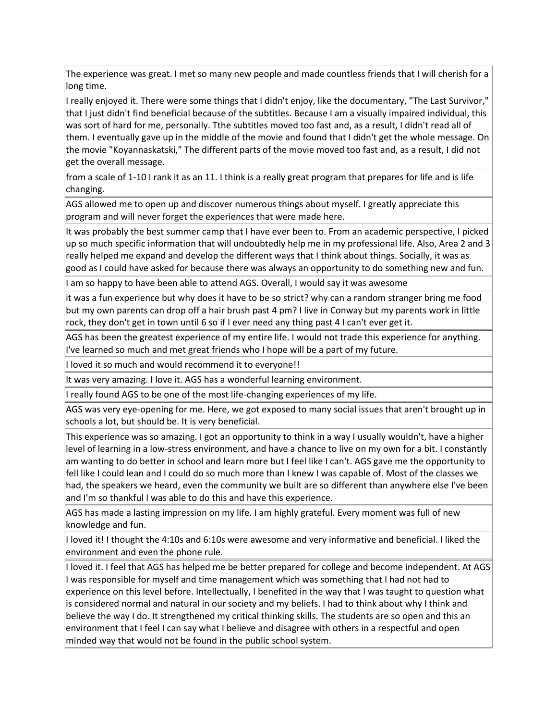The experience was great. I met so many new people and made countless friends that I will cherish for a long time.

I really enjoyed it. There were some things that I didn't enjoy, like the documentary, "The Last Survivor," that I just didn't find beneficial because of the subtitles. Because I am a visually impaired individual, this was sort of hard for me, personally. Tthe subtitles moved too fast and, as a result, I didn't read all of them. I eventually gave up in the middle of the movie and found that I didn't get the whole message. On the movie "Koyannaskatski," The different parts of the movie moved too fast and, as a result, I did not get the overall message.

from a scale of 1-10 I rank it as an 11. I think is a really great program that prepares for life and is life changing.

AGS allowed me to open up and discover numerous things about myself. I greatly appreciate this program and will never forget the experiences that were made here.

It was probably the best summer camp that I have ever been to. From an academic perspective, I picked up so much specific information that will undoubtedly help me in my professional life. Also, Area 2 and 3 really helped me expand and develop the different ways that I think about things. Socially, it was as good as I could have asked for because there was always an opportunity to do something new and fun.

I am so happy to have been able to attend AGS. Overall, I would say it was awesome

it was a fun experience but why does it have to be so strict? why can a random stranger bring me food but my own parents can drop off a hair brush past 4 pm? I live in Conway but my parents work in little rock, they don't get in town until 6 so if I ever need any thing past 4 I can't ever get it.

AGS has been the greatest experience of my entire life. I would not trade this experience for anything. I've learned so much and met great friends who I hope will be a part of my future.

I loved it so much and would recommend it to everyone!!

It was very amazing. I love it. AGS has a wonderful learning environment.

I really found AGS to be one of the most life-changing experiences of my life.

AGS was very eye-opening for me. Here, we got exposed to many social issues that aren't brought up in schools a lot, but should be. It is very beneficial.

This experience was so amazing. I got an opportunity to think in a way I usually wouldn't, have a higher level of learning in a low-stress environment, and have a chance to live on my own for a bit. I constantly am wanting to do better in school and learn more but I feel like I can't. AGS gave me the opportunity to fell like I could lean and I could do so much more than I knew I was capable of. Most of the classes we had, the speakers we heard, even the community we built are so different than anywhere else I've been and I'm so thankful I was able to do this and have this experience.

AGS has made a lasting impression on my life. I am highly grateful. Every moment was full of new knowledge and fun.

I loved it! I thought the 4:10s and 6:10s were awesome and very informative and beneficial. I liked the environment and even the phone rule.

I loved it. I feel that AGS has helped me be better prepared for college and become independent. At AGS I was responsible for myself and time management which was something that I had not had to experience on this level before. Intellectually, I benefited in the way that I was taught to question what is considered normal and natural in our society and my beliefs. I had to think about why I think and believe the way I do. It strengthened my critical thinking skills. The students are so open and this an environment that I feel I can say what I believe and disagree with others in a respectful and open minded way that would not be found in the public school system.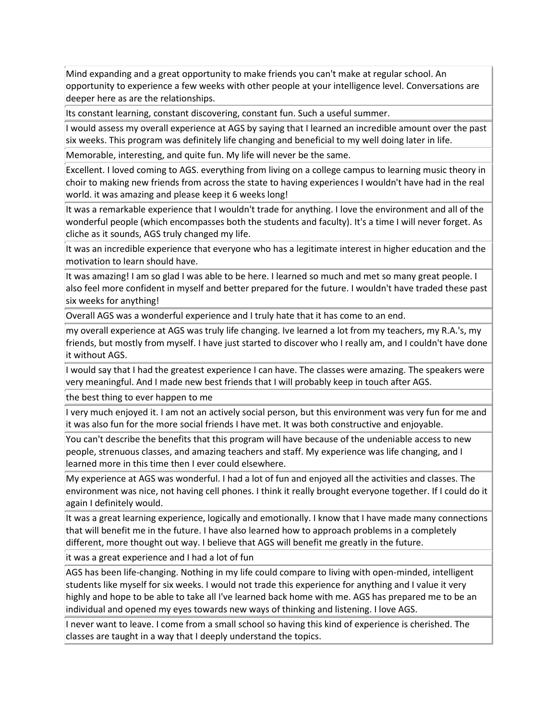Mind expanding and a great opportunity to make friends you can't make at regular school. An opportunity to experience a few weeks with other people at your intelligence level. Conversations are deeper here as are the relationships.

Its constant learning, constant discovering, constant fun. Such a useful summer.

I would assess my overall experience at AGS by saying that I learned an incredible amount over the past six weeks. This program was definitely life changing and beneficial to my well doing later in life.

Memorable, interesting, and quite fun. My life will never be the same.

Excellent. I loved coming to AGS. everything from living on a college campus to learning music theory in choir to making new friends from across the state to having experiences I wouldn't have had in the real world. it was amazing and please keep it 6 weeks long!

It was a remarkable experience that I wouldn't trade for anything. I love the environment and all of the wonderful people (which encompasses both the students and faculty). It's a time I will never forget. As cliche as it sounds, AGS truly changed my life.

It was an incredible experience that everyone who has a legitimate interest in higher education and the motivation to learn should have.

It was amazing! I am so glad I was able to be here. I learned so much and met so many great people. I also feel more confident in myself and better prepared for the future. I wouldn't have traded these past six weeks for anything!

Overall AGS was a wonderful experience and I truly hate that it has come to an end.

my overall experience at AGS was truly life changing. Ive learned a lot from my teachers, my R.A.'s, my friends, but mostly from myself. I have just started to discover who I really am, and I couldn't have done it without AGS.

I would say that I had the greatest experience I can have. The classes were amazing. The speakers were very meaningful. And I made new best friends that I will probably keep in touch after AGS.

the best thing to ever happen to me

I very much enjoyed it. I am not an actively social person, but this environment was very fun for me and it was also fun for the more social friends I have met. It was both constructive and enjoyable.

You can't describe the benefits that this program will have because of the undeniable access to new people, strenuous classes, and amazing teachers and staff. My experience was life changing, and I learned more in this time then I ever could elsewhere.

My experience at AGS was wonderful. I had a lot of fun and enjoyed all the activities and classes. The environment was nice, not having cell phones. I think it really brought everyone together. If I could do it again I definitely would.

It was a great learning experience, logically and emotionally. I know that I have made many connections that will benefit me in the future. I have also learned how to approach problems in a completely different, more thought out way. I believe that AGS will benefit me greatly in the future.

it was a great experience and I had a lot of fun

AGS has been life-changing. Nothing in my life could compare to living with open-minded, intelligent students like myself for six weeks. I would not trade this experience for anything and I value it very highly and hope to be able to take all I've learned back home with me. AGS has prepared me to be an individual and opened my eyes towards new ways of thinking and listening. I love AGS.

I never want to leave. I come from a small school so having this kind of experience is cherished. The classes are taught in a way that I deeply understand the topics.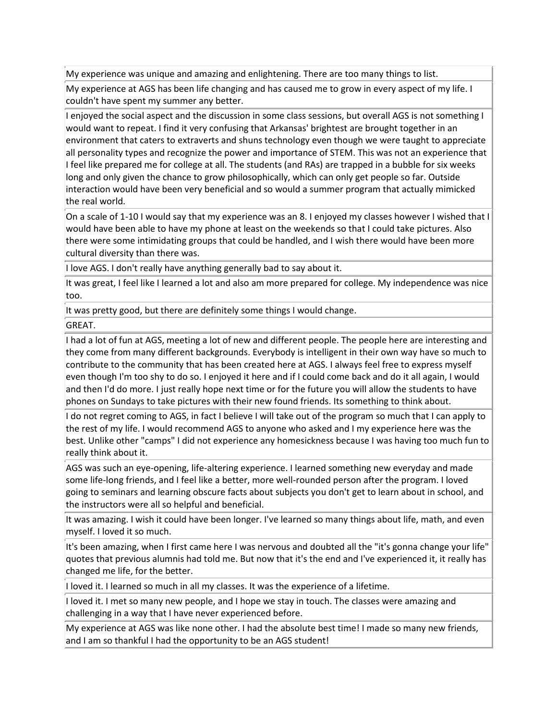My experience was unique and amazing and enlightening. There are too many things to list.

My experience at AGS has been life changing and has caused me to grow in every aspect of my life. I couldn't have spent my summer any better.

I enjoyed the social aspect and the discussion in some class sessions, but overall AGS is not something I would want to repeat. I find it very confusing that Arkansas' brightest are brought together in an environment that caters to extraverts and shuns technology even though we were taught to appreciate all personality types and recognize the power and importance of STEM. This was not an experience that If feel like prepared me for college at all. The students (and RAs) are trapped in a bubble for six weeks long and only given the chance to grow philosophically, which can only get people so far. Outside interaction would have been very beneficial and so would a summer program that actually mimicked the real world.

On a scale of 1-10 I would say that my experience was an 8. I enjoyed my classes however I wished that I would have been able to have my phone at least on the weekends so that I could take pictures. Also there were some intimidating groups that could be handled, and I wish there would have been more cultural diversity than there was.

 $\parallel$  love AGS. I don't really have anything generally bad to say about it.

It was great, I feel like I learned a lot and also am more prepared for college. My independence was nice too.

It was pretty good, but there are definitely some things I would change.

GREAT.

I had a lot of fun at AGS, meeting a lot of new and different people. The people here are interesting and they come from many different backgrounds. Everybody is intelligent in their own way have so much to contribute to the community that has been created here at AGS. I always feel free to express myself even though I'm too shy to do so. I enjoyed it here and if I could come back and do it all again, I would and then I'd do more. I just really hope next time or for the future you will allow the students to have phones on Sundays to take pictures with their new found friends. Its something to think about.

If do not regret coming to AGS, in fact I believe I will take out of the program so much that I can apply to the rest of my life. I would recommend AGS to anyone who asked and I my experience here was the best. Unlike other "camps" I did not experience any homesickness because I was having too much fun to really think about it.

AGS was such an eye-opening, life-altering experience. I learned something new everyday and made some life-long friends, and I feel like a better, more well-rounded person after the program. I loved going to seminars and learning obscure facts about subjects you don't get to learn about in school, and the instructors were all so helpful and beneficial.

It was amazing. I wish it could have been longer. I've learned so many things about life, math, and even myself. I loved it so much.

It's been amazing, when I first came here I was nervous and doubted all the "it's gonna change your life" quotes that previous alumnis had told me. But now that it's the end and I've experienced it, it really has changed me life, for the better.

I loved it. I learned so much in all my classes. It was the experience of a lifetime.

I loved it. I met so many new people, and I hope we stay in touch. The classes were amazing and challenging in a way that I have never experienced before.

My experience at AGS was like none other. I had the absolute best time! I made so many new friends, and I am so thankful I had the opportunity to be an AGS student!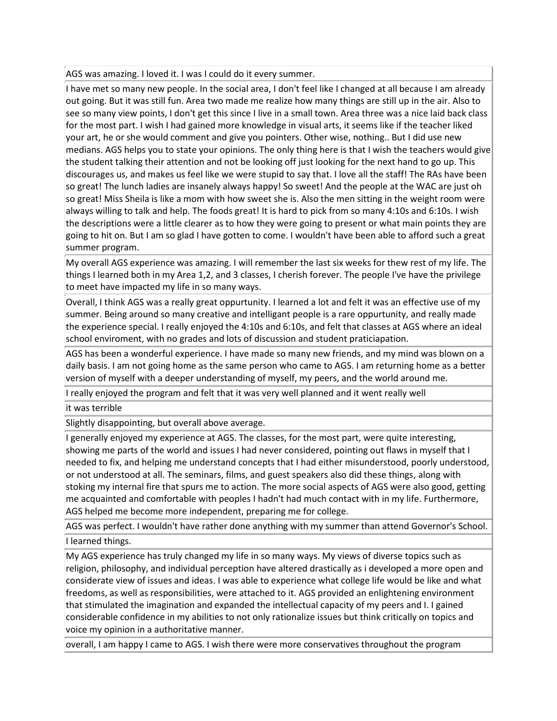### AGS was amazing. I loved it. I was I could do it every summer.

I have met so many new people. In the social area, I don't feel like I changed at all because I am already out going. But it was still fun. Area two made me realize how many things are still up in the air. Also to see so many view points, I don't get this since I live in a small town. Area three was a nice laid back class for the most part. I wish I had gained more knowledge in visual arts, it seems like if the teacher liked your art, he or she would comment and give you pointers. Other wise, nothing.. But I did use new medians. AGS helps you to state your opinions. The only thing here is that I wish the teachers would give the student talking their attention and not be looking off just looking for the next hand to go up. This discourages us, and makes us feel like we were stupid to say that. I love all the staff! The RAs have been so great! The lunch ladies are insanely always happy! So sweet! And the people at the WAC are just oh so great! Miss Sheila is like a mom with how sweet she is. Also the men sitting in the weight room were always willing to talk and help. The foods great! It is hard to pick from so many 4:10s and 6:10s. I wish the descriptions were a little clearer as to how they were going to present or what main points they are going to hit on. But I am so glad I have gotten to come. I wouldn't have been able to afford such a great summer program.

My overall AGS experience was amazing. I will remember the last six weeks for thew rest of my life. The things I learned both in my Area 1,2, and 3 classes, I cherish forever. The people I've have the privilege to meet have impacted my life in so many ways.

Overall, I think AGS was a really great oppurtunity. I learned a lot and felt it was an effective use of my summer. Being around so many creative and intelligant people is a rare oppurtunity, and really made the experience special. I really enjoyed the 4:10s and 6:10s, and felt that classes at AGS where an ideal school enviroment, with no grades and lots of discussion and student praticiapation.

AGS has been a wonderful experience. I have made so many new friends, and my mind was blown on a daily basis. I am not going home as the same person who came to AGS. I am returning home as a better version of myself with a deeper understanding of myself, my peers, and the world around me.

I really enjoyed the program and felt that it was very well planned and it went really well

it was terrible

Slightly disappointing, but overall above average.

I generally enjoyed my experience at AGS. The classes, for the most part, were quite interesting, showing me parts of the world and issues I had never considered, pointing out flaws in myself that I needed to fix, and helping me understand concepts that I had either misunderstood, poorly understood, or not understood at all. The seminars, films, and guest speakers also did these things, along with stoking my internal fire that spurs me to action. The more social aspects of AGS were also good, getting me acquainted and comfortable with peoples I hadn't had much contact with in my life. Furthermore, AGS helped me become more independent, preparing me for college.

AGS was perfect. I wouldn't have rather done anything with my summer than attend Governor's School. I learned things.

My AGS experience has truly changed my life in so many ways. My views of diverse topics such as religion, philosophy, and individual perception have altered drastically as i developed a more open and considerate view of issues and ideas. I was able to experience what college life would be like and what freedoms, as well as responsibilities, were attached to it. AGS provided an enlightening environment that stimulated the imagination and expanded the intellectual capacity of my peers and I. I gained considerable confidence in my abilities to not only rationalize issues but think critically on topics and voice my opinion in a authoritative manner.

overall, I am happy I came to AGS. I wish there were more conservatives throughout the program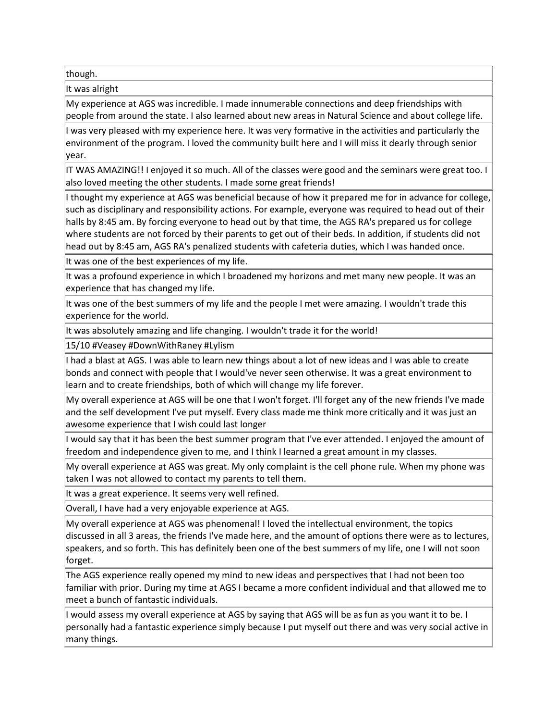though.

It was alright

My experience at AGS was incredible. I made innumerable connections and deep friendships with people from around the state. I also learned about new areas in Natural Science and about college life.

I was very pleased with my experience here. It was very formative in the activities and particularly the environment of the program. I loved the community built here and I will miss it dearly through senior year.

IT WAS AMAZING!! I enjoyed it so much. All of the classes were good and the seminars were great too. I also loved meeting the other students. I made some great friends!

I thought my experience at AGS was beneficial because of how it prepared me for in advance for college, such as disciplinary and responsibility actions. For example, everyone was required to head out of their halls by 8:45 am. By forcing everyone to head out by that time, the AGS RA's prepared us for college where students are not forced by their parents to get out of their beds. In addition, if students did not head out by 8:45 am, AGS RA's penalized students with cafeteria duties, which I was handed once.

It was one of the best experiences of my life.

It was a profound experience in which I broadened my horizons and met many new people. It was an experience that has changed my life.

It was one of the best summers of my life and the people I met were amazing. I wouldn't trade this experience for the world.

It was absolutely amazing and life changing. I wouldn't trade it for the world!

15/10 #Veasey #DownWithRaney #Lylism

I had a blast at AGS. I was able to learn new things about a lot of new ideas and I was able to create bonds and connect with people that I would've never seen otherwise. It was a great environment to learn and to create friendships, both of which will change my life forever.

My overall experience at AGS will be one that I won't forget. I'll forget any of the new friends I've made and the self development I've put myself. Every class made me think more critically and it was just an awesome experience that I wish could last longer

I would say that it has been the best summer program that I've ever attended. I enjoyed the amount of freedom and independence given to me, and I think I learned a great amount in my classes.

My overall experience at AGS was great. My only complaint is the cell phone rule. When my phone was taken I was not allowed to contact my parents to tell them.

It was a great experience. It seems very well refined.

Overall, I have had a very enjoyable experience at AGS.

My overall experience at AGS was phenomenal! I loved the intellectual environment, the topics discussed in all 3 areas, the friends I've made here, and the amount of options there were as to lectures, speakers, and so forth. This has definitely been one of the best summers of my life, one I will not soon forget.

The AGS experience really opened my mind to new ideas and perspectives that I had not been too familiar with prior. During my time at AGS I became a more confident individual and that allowed me to meet a bunch of fantastic individuals.

I would assess my overall experience at AGS by saying that AGS will be as fun as you want it to be. I personally had a fantastic experience simply because I put myself out there and was very social active in many things.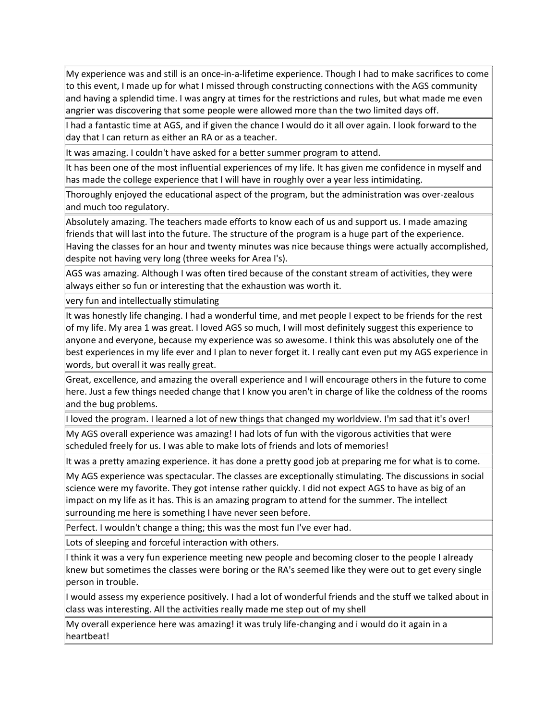My experience was and still is an once-in-a-lifetime experience. Though I had to make sacrifices to come to this event, I made up for what I missed through constructing connections with the AGS community and having a splendid time. I was angry at times for the restrictions and rules, but what made me even angrier was discovering that some people were allowed more than the two limited days off.

I had a fantastic time at AGS, and if given the chance I would do it all over again. I look forward to the day that I can return as either an RA or as a teacher.

It was amazing. I couldn't have asked for a better summer program to attend.

It has been one of the most influential experiences of my life. It has given me confidence in myself and has made the college experience that I will have in roughly over a year less intimidating.

Thoroughly enjoyed the educational aspect of the program, but the administration was over-zealous and much too regulatory.

Absolutely amazing. The teachers made efforts to know each of us and support us. I made amazing friends that will last into the future. The structure of the program is a huge part of the experience. Having the classes for an hour and twenty minutes was nice because things were actually accomplished, despite not having very long (three weeks for Area I's).

AGS was amazing. Although I was often tired because of the constant stream of activities, they were always either so fun or interesting that the exhaustion was worth it.

very fun and intellectually stimulating

It was honestly life changing. I had a wonderful time, and met people I expect to be friends for the rest of my life. My area 1 was great. I loved AGS so much, I will most definitely suggest this experience to anyone and everyone, because my experience was so awesome. I think this was absolutely one of the best experiences in my life ever and I plan to never forget it. I really cant even put my AGS experience in words, but overall it was really great.

Great, excellence, and amazing the overall experience and I will encourage others in the future to come here. Just a few things needed change that I know you aren't in charge of like the coldness of the rooms and the bug problems.

I loved the program. I learned a lot of new things that changed my worldview. I'm sad that it's over!

My AGS overall experience was amazing! I had lots of fun with the vigorous activities that were scheduled freely for us. I was able to make lots of friends and lots of memories!

It was a pretty amazing experience. it has done a pretty good job at preparing me for what is to come.

My AGS experience was spectacular. The classes are exceptionally stimulating. The discussions in social science were my favorite. They got intense rather quickly. I did not expect AGS to have as big of an impact on my life as it has. This is an amazing program to attend for the summer. The intellect surrounding me here is something I have never seen before.

Perfect. I wouldn't change a thing; this was the most fun I've ever had.

Lots of sleeping and forceful interaction with others.

I think it was a very fun experience meeting new people and becoming closer to the people I already knew but sometimes the classes were boring or the RA's seemed like they were out to get every single person in trouble.

I would assess my experience positively. I had a lot of wonderful friends and the stuff we talked about in class was interesting. All the activities really made me step out of my shell

My overall experience here was amazing! it was truly life-changing and i would do it again in a heartbeat!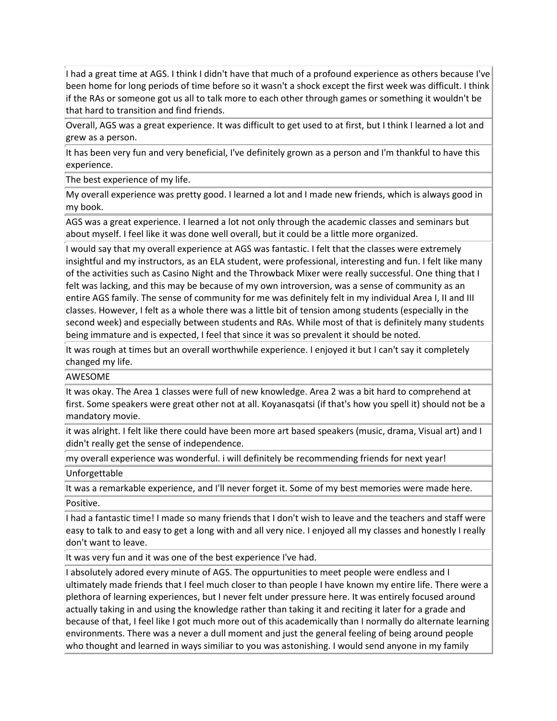I had a great time at AGS. I think I didn't have that much of a profound experience as others because I've been home for long periods of time before so it wasn't a shock except the first week was difficult. I think if the RAs or someone got us all to talk more to each other through games or something it wouldn't be that hard to transition and find friends.

Overall, AGS was a great experience. It was difficult to get used to at first, but I think I learned a lot and grew as a person.

It has been very fun and very beneficial, I've definitely grown as a person and I'm thankful to have this experience.

The best experience of my life.

My overall experience was pretty good. I learned a lot and I made new friends, which is always good in my book.

AGS was a great experience. I learned a lot not only through the academic classes and seminars but about myself. I feel like it was done well overall, but it could be a little more organized.

I would say that my overall experience at AGS was fantastic. I felt that the classes were extremely insightful and my instructors, as an ELA student, were professional, interesting and fun. I felt like many of the activities such as Casino Night and the Throwback Mixer were really successful. One thing that I felt was lacking, and this may be because of my own introversion, was a sense of community as an entire AGS family. The sense of community for me was definitely felt in my individual Area I, II and III classes. However, I felt as a whole there was a little bit of tension among students (especially in the second week) and especially between students and RAs. While most of that is definitely many students being immature and is expected, I feel that since it was so prevalent it should be noted.

It was rough at times but an overall worthwhile experience. I enjoyed it but I can't say it completely changed my life.

#### AWESOME

It was okay. The Area 1 classes were full of new knowledge. Area 2 was a bit hard to comprehend at first. Some speakers were great other not at all. Koyanasqatsi (if that's how you spell it) should not be a mandatory movie.

it was alright. I felt like there could have been more art based speakers (music, drama, Visual art) and I didn't really get the sense of independence.

my overall experience was wonderful. i will definitely be recommending friends for next year!

Unforgettable

It was a remarkable experience, and I'll never forget it. Some of my best memories were made here. Positive.

I had a fantastic time! I made so many friends that I don't wish to leave and the teachers and staff were easy to talk to and easy to get a long with and all very nice. I enjoyed all my classes and honestly I really don't want to leave.

It was very fun and it was one of the best experience I've had.

I absolutely adored every minute of AGS. The oppurtunities to meet people were endless and I ultimately made friends that I feel much closer to than people I have known my entire life. There were a plethora of learning experiences, but I never felt under pressure here. It was entirely focused around actually taking in and using the knowledge rather than taking it and reciting it later for a grade and because of that, I feel like I got much more out of this academically than I normally do alternate learning environments. There was a never a dull moment and just the general feeling of being around people who thought and learned in ways similiar to you was astonishing. I would send anyone in my family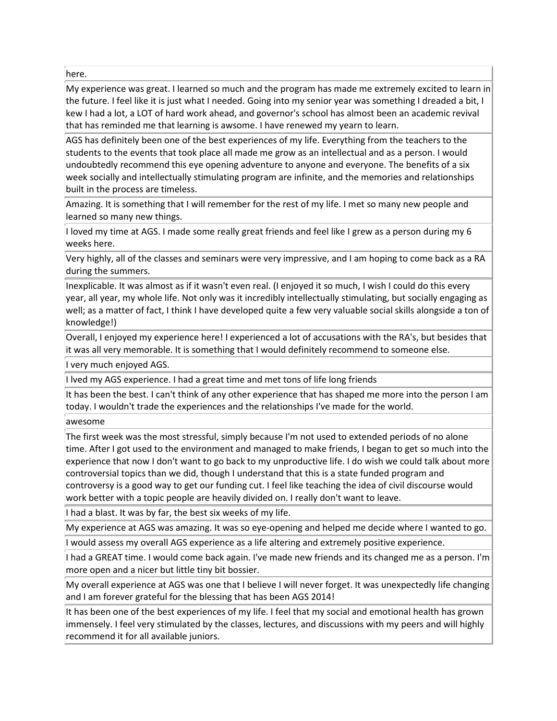here.

My experience was great. I learned so much and the program has made me extremely excited to learn in the future. I feel like it is just what I needed. Going into my senior year was something I dreaded a bit, I kew I had a lot, a LOT of hard work ahead, and governor's school has almost been an academic revival that has reminded me that learning is awsome. I have renewed my yearn to learn.

AGS has definitely been one of the best experiences of my life. Everything from the teachers to the students to the events that took place all made me grow as an intellectual and as a person. I would undoubtedly recommend this eye opening adventure to anyone and everyone. The benefits of a six week socially and intellectually stimulating program are infinite, and the memories and relationships built in the process are timeless.

Amazing. It is something that I will remember for the rest of my life. I met so many new people and learned so many new things.

I loved my time at AGS. I made some really great friends and feel like I grew as a person during my 6 weeks here.

Very highly, all of the classes and seminars were very impressive, and I am hoping to come back as a RA during the summers.

Inexplicable. It was almost as if it wasn't even real. (I enjoyed it so much, I wish I could do this every year, all year, my whole life. Not only was it incredibly intellectually stimulating, but socially engaging as well; as a matter of fact, I think I have developed quite a few very valuable social skills alongside a ton of knowledge!)

Overall, I enjoyed my experience here! I experienced a lot of accusations with the RA's, but besides that it was all very memorable. It is something that I would definitely recommend to someone else.

I very much enjoyed AGS.

I lved my AGS experience. I had a great time and met tons of life long friends

It has been the best. I can't think of any other experience that has shaped me more into the person I am today. I wouldn't trade the experiences and the relationships I've made for the world.

awesome

The first week was the most stressful, simply because I'm not used to extended periods of no alone time. After I got used to the environment and managed to make friends, I began to get so much into the experience that now I don't want to go back to my unproductive life. I do wish we could talk about more controversial topics than we did, though I understand that this is a state funded program and controversy is a good way to get our funding cut. I feel like teaching the idea of civil discourse would work better with a topic people are heavily divided on. I really don't want to leave.

I had a blast. It was by far, the best six weeks of my life.

My experience at AGS was amazing. It was so eye-opening and helped me decide where I wanted to go. I would assess my overall AGS experience as a life altering and extremely positive experience.

I had a GREAT time. I would come back again. I've made new friends and its changed me as a person. I'm more open and a nicer but little tiny bit bossier.

My overall experience at AGS was one that I believe I will never forget. It was unexpectedly life changing and I am forever grateful for the blessing that has been AGS 2014!

It has been one of the best experiences of my life. I feel that my social and emotional health has grown immensely. I feel very stimulated by the classes, lectures, and discussions with my peers and will highly recommend it for all available juniors.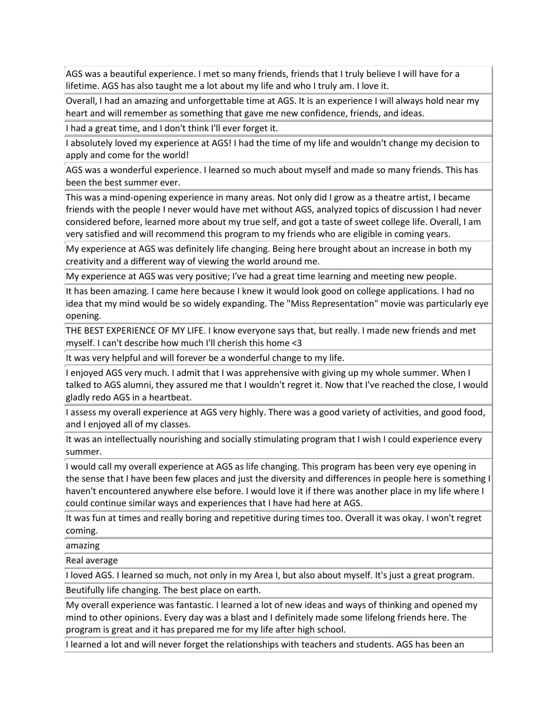AGS was a beautiful experience. I met so many friends, friends that I truly believe I will have for a lifetime. AGS has also taught me a lot about my life and who I truly am. I love it.

Overall, I had an amazing and unforgettable time at AGS. It is an experience I will always hold near my heart and will remember as something that gave me new confidence, friends, and ideas.

I had a great time, and I don't think I'll ever forget it.

I absolutely loved my experience at AGS! I had the time of my life and wouldn't change my decision to apply and come for the world!

AGS was a wonderful experience. I learned so much about myself and made so many friends. This has been the best summer ever.

This was a mind-opening experience in many areas. Not only did I grow as a theatre artist, I became friends with the people I never would have met without AGS, analyzed topics of discussion I had never considered before, learned more about my true self, and got a taste of sweet college life. Overall, I am very satisfied and will recommend this program to my friends who are eligible in coming years.

My experience at AGS was definitely life changing. Being here brought about an increase in both my creativity and a different way of viewing the world around me.

My experience at AGS was very positive; I've had a great time learning and meeting new people.

It has been amazing. I came here because I knew it would look good on college applications. I had no idea that my mind would be so widely expanding. The "Miss Representation" movie was particularly eye opening.

THE BEST EXPERIENCE OF MY LIFE. I know everyone says that, but really. I made new friends and met myself. I can't describe how much I'll cherish this home <3

It was very helpful and will forever be a wonderful change to my life.

I enjoyed AGS very much. I admit that I was apprehensive with giving up my whole summer. When I talked to AGS alumni, they assured me that I wouldn't regret it. Now that I've reached the close, I would gladly redo AGS in a heartbeat.

I assess my overall experience at AGS very highly. There was a good variety of activities, and good food, and I enjoyed all of my classes.

It was an intellectually nourishing and socially stimulating program that I wish I could experience every summer.

I would call my overall experience at AGS as life changing. This program has been very eye opening in the sense that I have been few places and just the diversity and differences in people here is something I haven't encountered anywhere else before. I would love it if there was another place in my life where I could continue similar ways and experiences that I have had here at AGS.

It was fun at times and really boring and repetitive during times too. Overall it was okay. I won't regret coming.

amazing

Real average

I loved AGS. I learned so much, not only in my Area I, but also about myself. It's just a great program.

Beutifully life changing. The best place on earth.

My overall experience was fantastic. I learned a lot of new ideas and ways of thinking and opened my mind to other opinions. Every day was a blast and I definitely made some lifelong friends here. The program is great and it has prepared me for my life after high school.

I learned a lot and will never forget the relationships with teachers and students. AGS has been an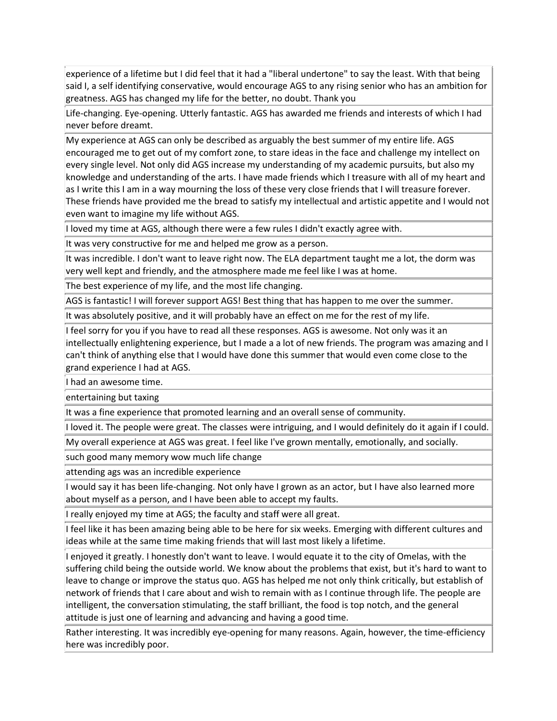experience of a lifetime but I did feel that it had a "liberal undertone" to say the least. With that being said I, a self identifying conservative, would encourage AGS to any rising senior who has an ambition for greatness. AGS has changed my life for the better, no doubt. Thank you

Life-changing. Eye-opening. Utterly fantastic. AGS has awarded me friends and interests of which I had never before dreamt.

My experience at AGS can only be described as arguably the best summer of my entire life. AGS encouraged me to get out of my comfort zone, to stare ideas in the face and challenge my intellect on every single level. Not only did AGS increase my understanding of my academic pursuits, but also my knowledge and understanding of the arts. I have made friends which I treasure with all of my heart and as I write this I am in a way mourning the loss of these very close friends that I will treasure forever. These friends have provided me the bread to satisfy my intellectual and artistic appetite and I would not even want to imagine my life without AGS.

I loved my time at AGS, although there were a few rules I didn't exactly agree with.

It was very constructive for me and helped me grow as a person.

It was incredible. I don't want to leave right now. The ELA department taught me a lot, the dorm was very well kept and friendly, and the atmosphere made me feel like I was at home.

The best experience of my life, and the most life changing.

AGS is fantastic! I will forever support AGS! Best thing that has happen to me over the summer.

It was absolutely positive, and it will probably have an effect on me for the rest of my life.

If feel sorry for you if you have to read all these responses. AGS is awesome. Not only was it an intellectually enlightening experience, but I made a a lot of new friends. The program was amazing and I can't think of anything else that I would have done this summer that would even come close to the grand experience I had at AGS.

I had an awesome time.

entertaining but taxing

It was a fine experience that promoted learning and an overall sense of community.

I loved it. The people were great. The classes were intriguing, and I would definitely do it again if I could.

My overall experience at AGS was great. I feel like I've grown mentally, emotionally, and socially.

such good many memory wow much life change

attending ags was an incredible experience

I would say it has been life-changing. Not only have I grown as an actor, but I have also learned more about myself as a person, and I have been able to accept my faults.

I really enjoyed my time at AGS; the faculty and staff were all great.

If feel like it has been amazing being able to be here for six weeks. Emerging with different cultures and ideas while at the same time making friends that will last most likely a lifetime.

I enjoyed it greatly. I honestly don't want to leave. I would equate it to the city of Omelas, with the suffering child being the outside world. We know about the problems that exist, but it's hard to want to leave to change or improve the status quo. AGS has helped me not only think critically, but establish of network of friends that I care about and wish to remain with as I continue through life. The people are intelligent, the conversation stimulating, the staff brilliant, the food is top notch, and the general attitude is just one of learning and advancing and having a good time.

Rather interesting. It was incredibly eye-opening for many reasons. Again, however, the time-efficiency here was incredibly poor.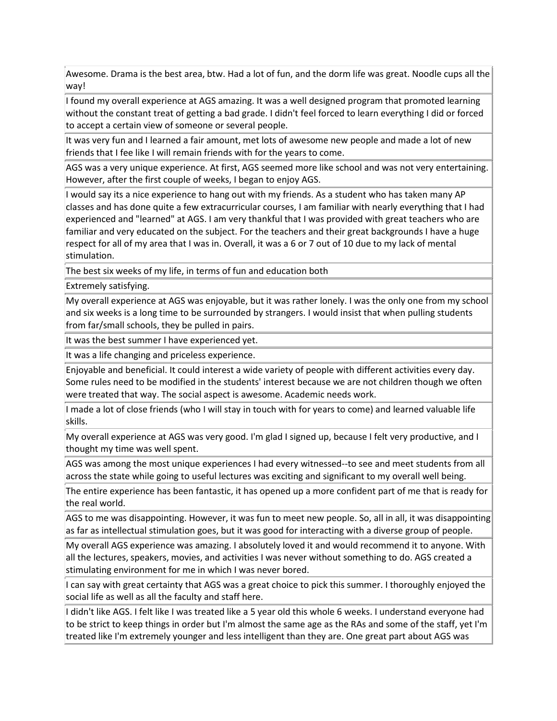Awesome. Drama is the best area, btw. Had a lot of fun, and the dorm life was great. Noodle cups all the way!

I found my overall experience at AGS amazing. It was a well designed program that promoted learning without the constant treat of getting a bad grade. I didn't feel forced to learn everything I did or forced to accept a certain view of someone or several people.

It was very fun and I learned a fair amount, met lots of awesome new people and made a lot of new friends that I fee like I will remain friends with for the years to come.

AGS was a very unique experience. At first, AGS seemed more like school and was not very entertaining. However, after the first couple of weeks, I began to enjoy AGS.

 $\parallel$  would say its a nice experience to hang out with my friends. As a student who has taken many AP classes and has done quite a few extracurricular courses, I am familiar with nearly everything that I had experienced and "learned" at AGS. I am very thankful that I was provided with great teachers who are familiar and very educated on the subject. For the teachers and their great backgrounds I have a huge respect for all of my area that I was in. Overall, it was a 6 or 7 out of 10 due to my lack of mental stimulation.

The best six weeks of my life, in terms of fun and education both

Extremely satisfying.

My overall experience at AGS was enjoyable, but it was rather lonely. I was the only one from my school and six weeks is a long time to be surrounded by strangers. I would insist that when pulling students from far/small schools, they be pulled in pairs.

It was the best summer I have experienced yet.

It was a life changing and priceless experience.

Enjoyable and beneficial. It could interest a wide variety of people with different activities every day. Some rules need to be modified in the students' interest because we are not children though we often were treated that way. The social aspect is awesome. Academic needs work.

I made a lot of close friends (who I will stay in touch with for years to come) and learned valuable life skills.

My overall experience at AGS was very good. I'm glad I signed up, because I felt very productive, and I thought my time was well spent.

AGS was among the most unique experiences I had every witnessed--to see and meet students from all across the state while going to useful lectures was exciting and significant to my overall well being.

The entire experience has been fantastic, it has opened up a more confident part of me that is ready for the real world.

AGS to me was disappointing. However, it was fun to meet new people. So, all in all, it was disappointing as far as intellectual stimulation goes, but it was good for interacting with a diverse group of people.

My overall AGS experience was amazing. I absolutely loved it and would recommend it to anyone. With all the lectures, speakers, movies, and activities I was never without something to do. AGS created a stimulating environment for me in which I was never bored.

I can say with great certainty that AGS was a great choice to pick this summer. I thoroughly enjoyed the social life as well as all the faculty and staff here.

I didn't like AGS. I felt like I was treated like a 5 year old this whole 6 weeks. I understand everyone had to be strict to keep things in order but I'm almost the same age as the RAs and some of the staff, yet I'm treated like I'm extremely younger and less intelligent than they are. One great part about AGS was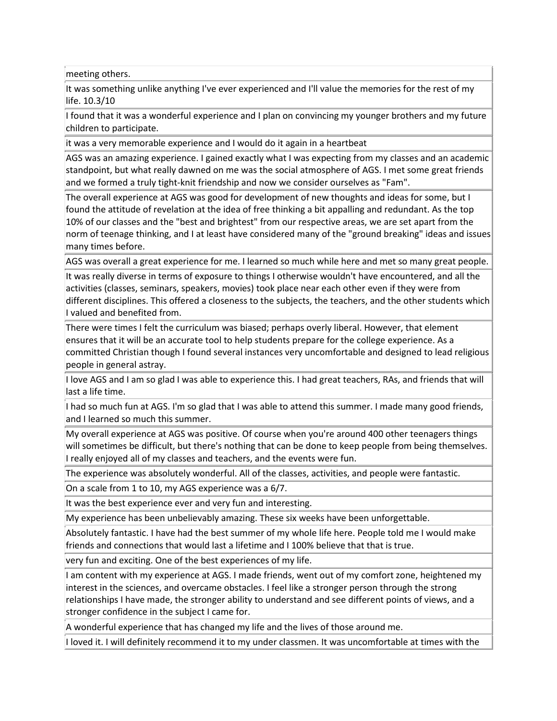meeting others.

It was something unlike anything I've ever experienced and I'll value the memories for the rest of my life. 10.3/10

I found that it was a wonderful experience and I plan on convincing my younger brothers and my future children to participate.

it was a very memorable experience and I would do it again in a heartbeat

AGS was an amazing experience. I gained exactly what I was expecting from my classes and an academic standpoint, but what really dawned on me was the social atmosphere of AGS. I met some great friends and we formed a truly tight-knit friendship and now we consider ourselves as "Fam".

The overall experience at AGS was good for development of new thoughts and ideas for some, but I found the attitude of revelation at the idea of free thinking a bit appalling and redundant. As the top 10% of our classes and the "best and brightest" from our respective areas, we are set apart from the norm of teenage thinking, and I at least have considered many of the "ground breaking" ideas and issues many times before.

AGS was overall a great experience for me. I learned so much while here and met so many great people.

It was really diverse in terms of exposure to things I otherwise wouldn't have encountered, and all the activities (classes, seminars, speakers, movies) took place near each other even if they were from different disciplines. This offered a closeness to the subjects, the teachers, and the other students which I valued and benefited from.

There were times I felt the curriculum was biased; perhaps overly liberal. However, that element ensures that it will be an accurate tool to help students prepare for the college experience. As a committed Christian though I found several instances very uncomfortable and designed to lead religious people in general astray.

I love AGS and I am so glad I was able to experience this. I had great teachers, RAs, and friends that will last a life time.

I had so much fun at AGS. I'm so glad that I was able to attend this summer. I made many good friends, and I learned so much this summer.

My overall experience at AGS was positive. Of course when you're around 400 other teenagers things will sometimes be difficult, but there's nothing that can be done to keep people from being themselves. I really enjoyed all of my classes and teachers, and the events were fun.

The experience was absolutely wonderful. All of the classes, activities, and people were fantastic.

On a scale from 1 to 10, my AGS experience was a 6/7.

It was the best experience ever and very fun and interesting.

My experience has been unbelievably amazing. These six weeks have been unforgettable.

Absolutely fantastic. I have had the best summer of my whole life here. People told me I would make friends and connections that would last a lifetime and I 100% believe that that is true.

very fun and exciting. One of the best experiences of my life.

I am content with my experience at AGS. I made friends, went out of my comfort zone, heightened my interest in the sciences, and overcame obstacles. I feel like a stronger person through the strong relationships I have made, the stronger ability to understand and see different points of views, and a stronger confidence in the subject I came for.

A wonderful experience that has changed my life and the lives of those around me.

I loved it. I will definitely recommend it to my under classmen. It was uncomfortable at times with the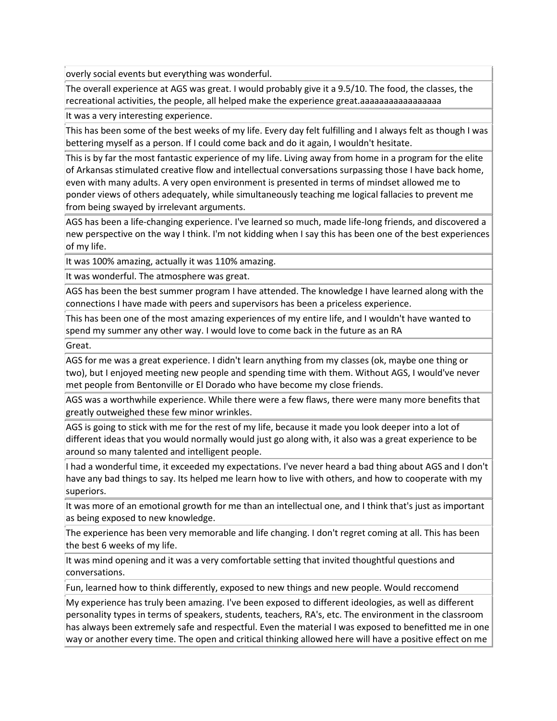overly social events but everything was wonderful.

The overall experience at AGS was great. I would probably give it a 9.5/10. The food, the classes, the recreational activities, the people, all helped make the experience great.aaaaaaaaaaaaaaaaa

It was a very interesting experience.

This has been some of the best weeks of my life. Every day felt fulfilling and I always felt as though I was bettering myself as a person. If I could come back and do it again, I wouldn't hesitate.

This is by far the most fantastic experience of my life. Living away from home in a program for the elite of Arkansas stimulated creative flow and intellectual conversations surpassing those I have back home, even with many adults. A very open environment is presented in terms of mindset allowed me to ponder views of others adequately, while simultaneously teaching me logical fallacies to prevent me from being swayed by irrelevant arguments.

AGS has been a life-changing experience. I've learned so much, made life-long friends, and discovered a new perspective on the way I think. I'm not kidding when I say this has been one of the best experiences of my life.

It was 100% amazing, actually it was 110% amazing.

It was wonderful. The atmosphere was great.

AGS has been the best summer program I have attended. The knowledge I have learned along with the connections I have made with peers and supervisors has been a priceless experience.

This has been one of the most amazing experiences of my entire life, and I wouldn't have wanted to spend my summer any other way. I would love to come back in the future as an RA

Great.

AGS for me was a great experience. I didn't learn anything from my classes (ok, maybe one thing or two), but I enjoyed meeting new people and spending time with them. Without AGS, I would've never met people from Bentonville or El Dorado who have become my close friends.

AGS was a worthwhile experience. While there were a few flaws, there were many more benefits that greatly outweighed these few minor wrinkles.

AGS is going to stick with me for the rest of my life, because it made you look deeper into a lot of different ideas that you would normally would just go along with, it also was a great experience to be around so many talented and intelligent people.

I had a wonderful time, it exceeded my expectations. I've never heard a bad thing about AGS and I don't have any bad things to say. Its helped me learn how to live with others, and how to cooperate with my superiors.

It was more of an emotional growth for me than an intellectual one, and I think that's just as important as being exposed to new knowledge.

The experience has been very memorable and life changing. I don't regret coming at all. This has been the best 6 weeks of my life.

It was mind opening and it was a very comfortable setting that invited thoughtful questions and conversations.

Fun, learned how to think differently, exposed to new things and new people. Would reccomend

My experience has truly been amazing. I've been exposed to different ideologies, as well as different personality types in terms of speakers, students, teachers, RA's, etc. The environment in the classroom has always been extremely safe and respectful. Even the material I was exposed to benefitted me in one way or another every time. The open and critical thinking allowed here will have a positive effect on me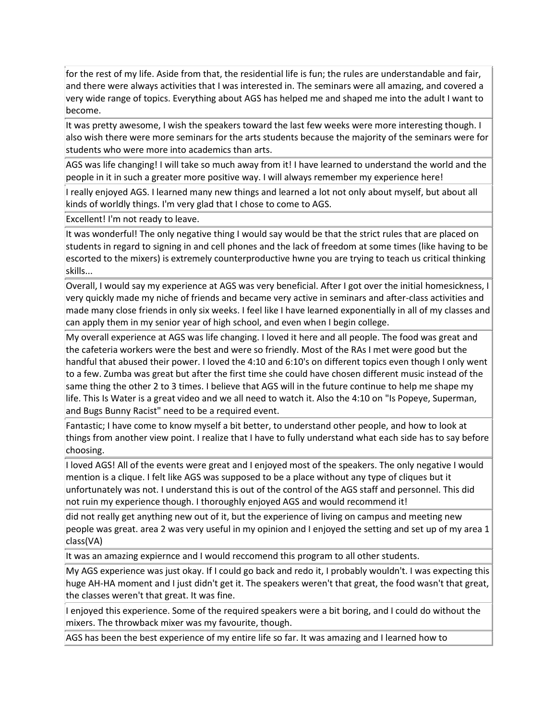for the rest of my life. Aside from that, the residential life is fun; the rules are understandable and fair, and there were always activities that I was interested in. The seminars were all amazing, and covered a very wide range of topics. Everything about AGS has helped me and shaped me into the adult I want to become.

It was pretty awesome, I wish the speakers toward the last few weeks were more interesting though. I also wish there were more seminars for the arts students because the majority of the seminars were for students who were more into academics than arts.

AGS was life changing! I will take so much away from it! I have learned to understand the world and the people in it in such a greater more positive way. I will always remember my experience here!

I really enjoyed AGS. I learned many new things and learned a lot not only about myself, but about all kinds of worldly things. I'm very glad that I chose to come to AGS.

Excellent! I'm not ready to leave.

It was wonderful! The only negative thing I would say would be that the strict rules that are placed on students in regard to signing in and cell phones and the lack of freedom at some times (like having to be escorted to the mixers) is extremely counterproductive hwne you are trying to teach us critical thinking skills...

Overall, I would say my experience at AGS was very beneficial. After I got over the initial homesickness, I very quickly made my niche of friends and became very active in seminars and after-class activities and made many close friends in only six weeks. I feel like I have learned exponentially in all of my classes and can apply them in my senior year of high school, and even when I begin college.

My overall experience at AGS was life changing. I loved it here and all people. The food was great and the cafeteria workers were the best and were so friendly. Most of the RAs I met were good but the handful that abused their power. I loved the 4:10 and 6:10's on different topics even though I only went to a few. Zumba was great but after the first time she could have chosen different music instead of the same thing the other 2 to 3 times. I believe that AGS will in the future continue to help me shape my life. This Is Water is a great video and we all need to watch it. Also the 4:10 on "Is Popeye, Superman, and Bugs Bunny Racist" need to be a required event.

Fantastic; I have come to know myself a bit better, to understand other people, and how to look at things from another view point. I realize that I have to fully understand what each side has to say before choosing.

I loved AGS! All of the events were great and I enjoyed most of the speakers. The only negative I would mention is a clique. I felt like AGS was supposed to be a place without any type of cliques but it unfortunately was not. I understand this is out of the control of the AGS staff and personnel. This did not ruin my experience though. I thoroughly enjoyed AGS and would recommend it!

did not really get anything new out of it, but the experience of living on campus and meeting new people was great. area 2 was very useful in my opinion and I enjoyed the setting and set up of my area 1 class(VA)

It was an amazing expiernce and I would reccomend this program to all other students.

My AGS experience was just okay. If I could go back and redo it, I probably wouldn't. I was expecting this huge AH-HA moment and I just didn't get it. The speakers weren't that great, the food wasn't that great, the classes weren't that great. It was fine.

I enjoyed this experience. Some of the required speakers were a bit boring, and I could do without the mixers. The throwback mixer was my favourite, though.

AGS has been the best experience of my entire life so far. It was amazing and I learned how to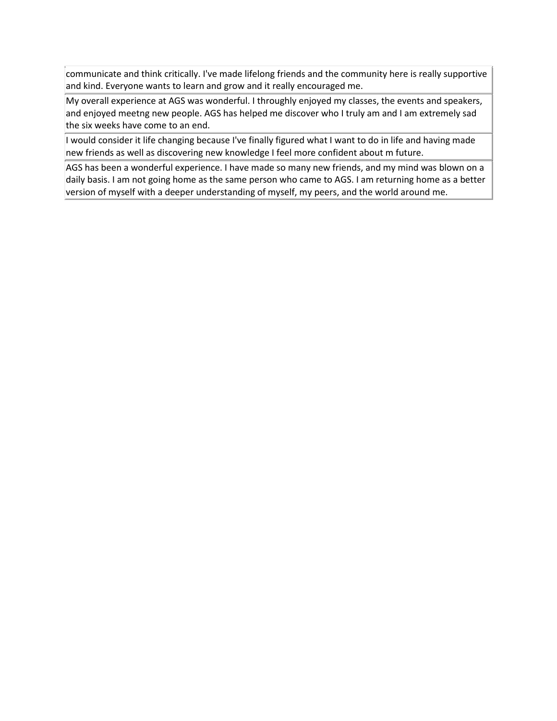communicate and think critically. I've made lifelong friends and the community here is really supportive and kind. Everyone wants to learn and grow and it really encouraged me.

My overall experience at AGS was wonderful. I throughly enjoyed my classes, the events and speakers, and enjoyed meetng new people. AGS has helped me discover who I truly am and I am extremely sad the six weeks have come to an end.

I would consider it life changing because I've finally figured what I want to do in life and having made new friends as well as discovering new knowledge I feel more confident about m future.

AGS has been a wonderful experience. I have made so many new friends, and my mind was blown on a daily basis. I am not going home as the same person who came to AGS. I am returning home as a better version of myself with a deeper understanding of myself, my peers, and the world around me.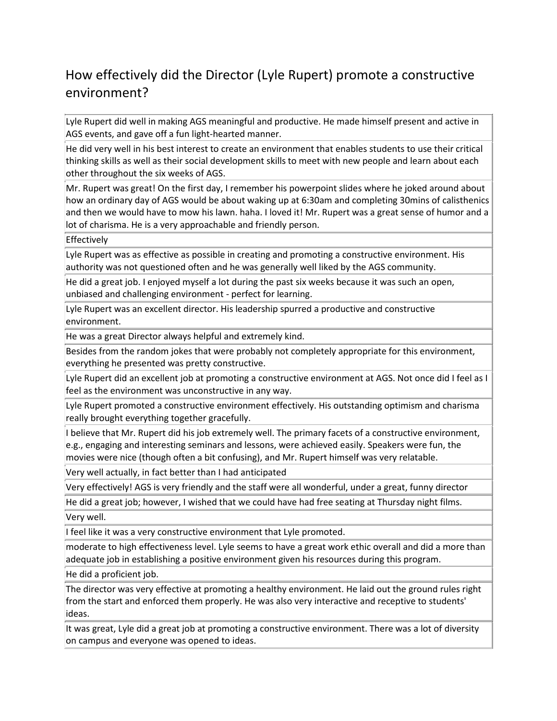# How effectively did the Director (Lyle Rupert) promote a constructive environment?

Lyle Rupert did well in making AGS meaningful and productive. He made himself present and active in AGS events, and gave off a fun light-hearted manner.

He did very well in his best interest to create an environment that enables students to use their critical thinking skills as well as their social development skills to meet with new people and learn about each other throughout the six weeks of AGS.

Mr. Rupert was great! On the first day, I remember his powerpoint slides where he joked around about how an ordinary day of AGS would be about waking up at 6:30am and completing 30mins of calisthenics and then we would have to mow his lawn. haha. I loved it! Mr. Rupert was a great sense of humor and a lot of charisma. He is a very approachable and friendly person.

**Effectively** 

Lyle Rupert was as effective as possible in creating and promoting a constructive environment. His authority was not questioned often and he was generally well liked by the AGS community.

He did a great job. I enjoyed myself a lot during the past six weeks because it was such an open, unbiased and challenging environment - perfect for learning.

Lyle Rupert was an excellent director. His leadership spurred a productive and constructive environment.

He was a great Director always helpful and extremely kind.

Besides from the random jokes that were probably not completely appropriate for this environment, everything he presented was pretty constructive.

Lyle Rupert did an excellent job at promoting a constructive environment at AGS. Not once did I feel as I feel as the environment was unconstructive in any way.

Lyle Rupert promoted a constructive environment effectively. His outstanding optimism and charisma really brought everything together gracefully.

 $\parallel$  believe that Mr. Rupert did his job extremely well. The primary facets of a constructive environment, e.g., engaging and interesting seminars and lessons, were achieved easily. Speakers were fun, the movies were nice (though often a bit confusing), and Mr. Rupert himself was very relatable.

Very well actually, in fact better than I had anticipated

Very effectively! AGS is very friendly and the staff were all wonderful, under a great, funny director

He did a great job; however, I wished that we could have had free seating at Thursday night films.

Very well.

If feel like it was a very constructive environment that Lyle promoted.

moderate to high effectiveness level. Lyle seems to have a great work ethic overall and did a more than adequate job in establishing a positive environment given his resources during this program.

He did a proficient job.

The director was very effective at promoting a healthy environment. He laid out the ground rules right from the start and enforced them properly. He was also very interactive and receptive to students' ideas.

It was great, Lyle did a great job at promoting a constructive environment. There was a lot of diversity on campus and everyone was opened to ideas.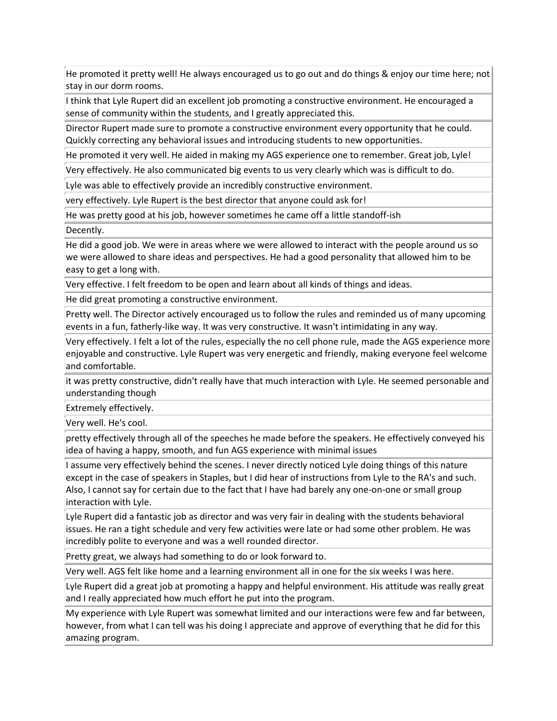He promoted it pretty well! He always encouraged us to go out and do things & enjoy our time here; not stay in our dorm rooms.

I think that Lyle Rupert did an excellent job promoting a constructive environment. He encouraged a sense of community within the students, and I greatly appreciated this.

Director Rupert made sure to promote a constructive environment every opportunity that he could. Quickly correcting any behavioral issues and introducing students to new opportunities.

He promoted it very well. He aided in making my AGS experience one to remember. Great job, Lyle!

Very effectively. He also communicated big events to us very clearly which was is difficult to do.

Lyle was able to effectively provide an incredibly constructive environment.

very effectively. Lyle Rupert is the best director that anyone could ask for!

He was pretty good at his job, however sometimes he came off a little standoff-ish

Decently.

He did a good job. We were in areas where we were allowed to interact with the people around us so we were allowed to share ideas and perspectives. He had a good personality that allowed him to be easy to get a long with.

Very effective. I felt freedom to be open and learn about all kinds of things and ideas.

He did great promoting a constructive environment.

Pretty well. The Director actively encouraged us to follow the rules and reminded us of many upcoming events in a fun, fatherly-like way. It was very constructive. It wasn't intimidating in any way.

Very effectively. I felt a lot of the rules, especially the no cell phone rule, made the AGS experience more enjoyable and constructive. Lyle Rupert was very energetic and friendly, making everyone feel welcome and comfortable.

it was pretty constructive, didn't really have that much interaction with Lyle. He seemed personable and understanding though

Extremely effectively.

Very well. He's cool.

pretty effectively through all of the speeches he made before the speakers. He effectively conveyed his idea of having a happy, smooth, and fun AGS experience with minimal issues

I assume very effectively behind the scenes. I never directly noticed Lyle doing things of this nature except in the case of speakers in Staples, but I did hear of instructions from Lyle to the RA's and such. Also, I cannot say for certain due to the fact that I have had barely any one-on-one or small group interaction with Lyle.

Lyle Rupert did a fantastic job as director and was very fair in dealing with the students behavioral issues. He ran a tight schedule and very few activities were late or had some other problem. He was incredibly polite to everyone and was a well rounded director.

Pretty great, we always had something to do or look forward to.

Very well. AGS felt like home and a learning environment all in one for the six weeks I was here.

Lyle Rupert did a great job at promoting a happy and helpful environment. His attitude was really great and I really appreciated how much effort he put into the program.

My experience with Lyle Rupert was somewhat limited and our interactions were few and far between, however, from what I can tell was his doing I appreciate and approve of everything that he did for this amazing program.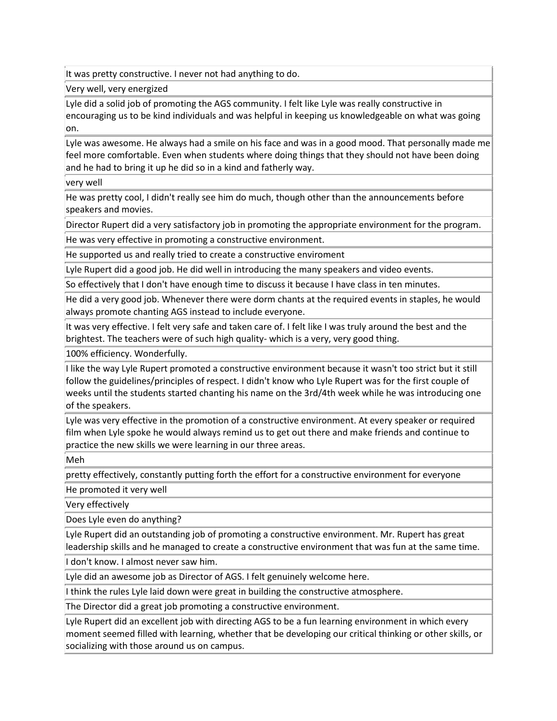It was pretty constructive. I never not had anything to do.

Very well, very energized

Lyle did a solid job of promoting the AGS community. I felt like Lyle was really constructive in encouraging us to be kind individuals and was helpful in keeping us knowledgeable on what was going lon.

Lyle was awesome. He always had a smile on his face and was in a good mood. That personally made me feel more comfortable. Even when students where doing things that they should not have been doing and he had to bring it up he did so in a kind and fatherly way.

very well

He was pretty cool, I didn't really see him do much, though other than the announcements before speakers and movies.

Director Rupert did a very satisfactory job in promoting the appropriate environment for the program.

He was very effective in promoting a constructive environment.

He supported us and really tried to create a constructive enviroment

Lyle Rupert did a good job. He did well in introducing the many speakers and video events.

So effectively that I don't have enough time to discuss it because I have class in ten minutes.

He did a very good job. Whenever there were dorm chants at the required events in staples, he would always promote chanting AGS instead to include everyone.

It was very effective. I felt very safe and taken care of. I felt like I was truly around the best and the brightest. The teachers were of such high quality- which is a very, very good thing.

100% efficiency. Wonderfully.

I like the way Lyle Rupert promoted a constructive environment because it wasn't too strict but it still follow the guidelines/principles of respect. I didn't know who Lyle Rupert was for the first couple of weeks until the students started chanting his name on the 3rd/4th week while he was introducing one of the speakers.

Lyle was very effective in the promotion of a constructive environment. At every speaker or required film when Lyle spoke he would always remind us to get out there and make friends and continue to practice the new skills we were learning in our three areas.

Meh

pretty effectively, constantly putting forth the effort for a constructive environment for everyone

He promoted it very well

Very effectively

Does Lyle even do anything?

Lyle Rupert did an outstanding job of promoting a constructive environment. Mr. Rupert has great leadership skills and he managed to create a constructive environment that was fun at the same time.

I don't know. I almost never saw him.

Lyle did an awesome job as Director of AGS. I felt genuinely welcome here.

I think the rules Lyle laid down were great in building the constructive atmosphere.

The Director did a great job promoting a constructive environment.

Lyle Rupert did an excellent job with directing AGS to be a fun learning environment in which every moment seemed filled with learning, whether that be developing our critical thinking or other skills, or socializing with those around us on campus.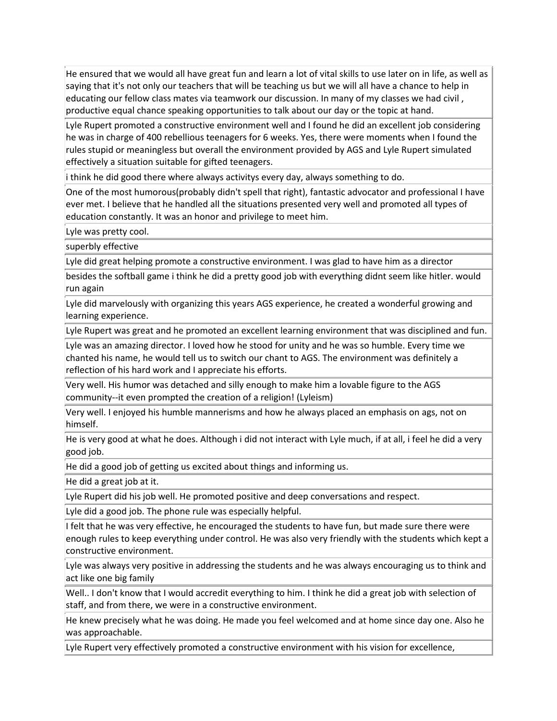He ensured that we would all have great fun and learn a lot of vital skills to use later on in life, as well as saying that it's not only our teachers that will be teaching us but we will all have a chance to help in educating our fellow class mates via teamwork our discussion. In many of my classes we had civil , productive equal chance speaking opportunities to talk about our day or the topic at hand.

Lyle Rupert promoted a constructive environment well and I found he did an excellent job considering he was in charge of 400 rebellious teenagers for 6 weeks. Yes, there were moments when I found the rules stupid or meaningless but overall the environment provided by AGS and Lyle Rupert simulated effectively a situation suitable for gifted teenagers.

i think he did good there where always activitys every day, always something to do.

One of the most humorous(probably didn't spell that right), fantastic advocator and professional I have ever met. I believe that he handled all the situations presented very well and promoted all types of education constantly. It was an honor and privilege to meet him.

Lyle was pretty cool.

superbly effective

Lyle did great helping promote a constructive environment. I was glad to have him as a director

besides the softball game i think he did a pretty good job with everything didnt seem like hitler. would run again

Lyle did marvelously with organizing this years AGS experience, he created a wonderful growing and learning experience.

Lyle Rupert was great and he promoted an excellent learning environment that was disciplined and fun.

Lyle was an amazing director. I loved how he stood for unity and he was so humble. Every time we chanted his name, he would tell us to switch our chant to AGS. The environment was definitely a reflection of his hard work and I appreciate his efforts.

Very well. His humor was detached and silly enough to make him a lovable figure to the AGS community--it even prompted the creation of a religion! (Lyleism)

Very well. I enjoyed his humble mannerisms and how he always placed an emphasis on ags, not on himself.

He is very good at what he does. Although i did not interact with Lyle much, if at all, i feel he did a very good job.

He did a good job of getting us excited about things and informing us.

He did a great job at it.

Lyle Rupert did his job well. He promoted positive and deep conversations and respect.

Lyle did a good job. The phone rule was especially helpful.

If felt that he was very effective, he encouraged the students to have fun, but made sure there were enough rules to keep everything under control. He was also very friendly with the students which kept a constructive environment.

Lyle was always very positive in addressing the students and he was always encouraging us to think and act like one big family

Well.. I don't know that I would accredit everything to him. I think he did a great job with selection of staff, and from there, we were in a constructive environment.

He knew precisely what he was doing. He made you feel welcomed and at home since day one. Also he was approachable.

Lyle Rupert very effectively promoted a constructive environment with his vision for excellence,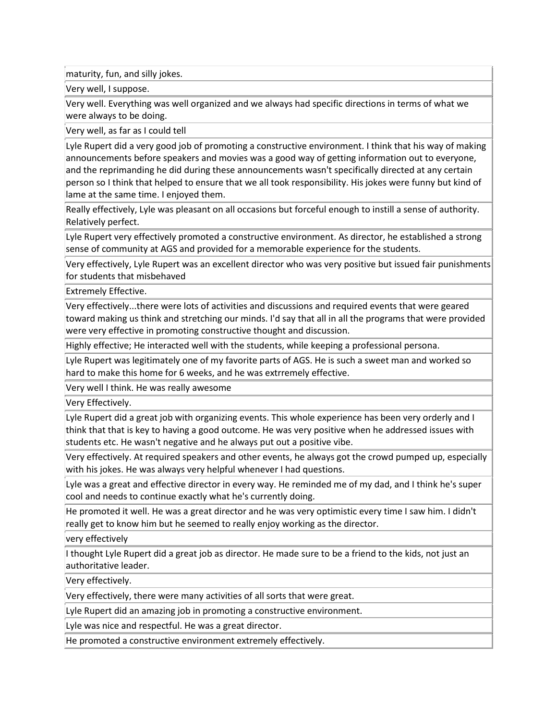maturity, fun, and silly jokes.

Very well, I suppose.

Very well. Everything was well organized and we always had specific directions in terms of what we were always to be doing.

Very well, as far as I could tell

Lyle Rupert did a very good job of promoting a constructive environment. I think that his way of making announcements before speakers and movies was a good way of getting information out to everyone, and the reprimanding he did during these announcements wasn't specifically directed at any certain person so I think that helped to ensure that we all took responsibility. His jokes were funny but kind of lame at the same time. I enjoyed them.

Really effectively, Lyle was pleasant on all occasions but forceful enough to instill a sense of authority. Relatively perfect.

Lyle Rupert very effectively promoted a constructive environment. As director, he established a strong sense of community at AGS and provided for a memorable experience for the students.

Very effectively, Lyle Rupert was an excellent director who was very positive but issued fair punishments for students that misbehaved

Extremely Effective.

Very effectively...there were lots of activities and discussions and required events that were geared toward making us think and stretching our minds. I'd say that all in all the programs that were provided were very effective in promoting constructive thought and discussion.

Highly effective; He interacted well with the students, while keeping a professional persona.

Lyle Rupert was legitimately one of my favorite parts of AGS. He is such a sweet man and worked so hard to make this home for 6 weeks, and he was extrremely effective.

Very well I think. He was really awesome

Very Effectively.

Lyle Rupert did a great job with organizing events. This whole experience has been very orderly and I think that that is key to having a good outcome. He was very positive when he addressed issues with students etc. He wasn't negative and he always put out a positive vibe.

Very effectively. At required speakers and other events, he always got the crowd pumped up, especially with his jokes. He was always very helpful whenever I had questions.

Lyle was a great and effective director in every way. He reminded me of my dad, and I think he's super cool and needs to continue exactly what he's currently doing.

He promoted it well. He was a great director and he was very optimistic every time I saw him. I didn't really get to know him but he seemed to really enjoy working as the director.

very effectively

I thought Lyle Rupert did a great job as director. He made sure to be a friend to the kids, not just an authoritative leader.

Very effectively.

Very effectively, there were many activities of all sorts that were great.

Lyle Rupert did an amazing job in promoting a constructive environment.

Lyle was nice and respectful. He was a great director.

He promoted a constructive environment extremely effectively.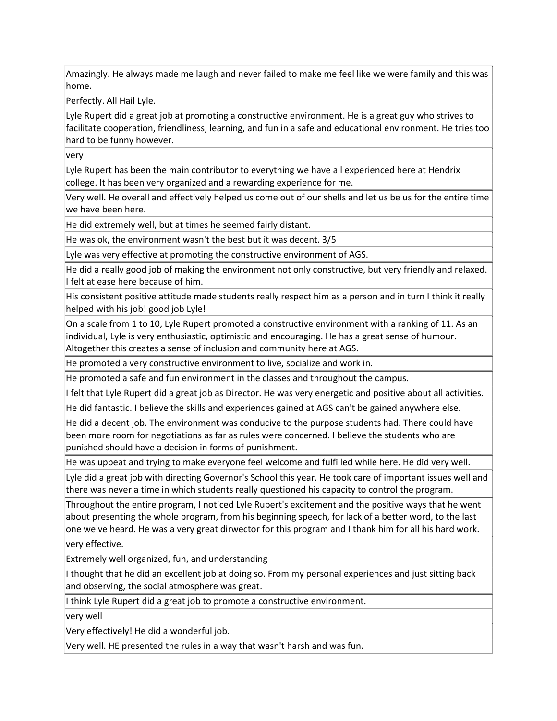Amazingly. He always made me laugh and never failed to make me feel like we were family and this was home.

Perfectly. All Hail Lyle.

Lyle Rupert did a great job at promoting a constructive environment. He is a great guy who strives to facilitate cooperation, friendliness, learning, and fun in a safe and educational environment. He tries too hard to be funny however.

very

Lyle Rupert has been the main contributor to everything we have all experienced here at Hendrix college. It has been very organized and a rewarding experience for me.

Very well. He overall and effectively helped us come out of our shells and let us be us for the entire time we have been here.

He did extremely well, but at times he seemed fairly distant.

He was ok, the environment wasn't the best but it was decent. 3/5

Lyle was very effective at promoting the constructive environment of AGS.

He did a really good job of making the environment not only constructive, but very friendly and relaxed. I felt at ease here because of him.

His consistent positive attitude made students really respect him as a person and in turn I think it really helped with his job! good job Lyle!

On a scale from 1 to 10, Lyle Rupert promoted a constructive environment with a ranking of 11. As an individual, Lyle is very enthusiastic, optimistic and encouraging. He has a great sense of humour. Altogether this creates a sense of inclusion and community here at AGS.

He promoted a very constructive environment to live, socialize and work in.

He promoted a safe and fun environment in the classes and throughout the campus.

I felt that Lyle Rupert did a great job as Director. He was very energetic and positive about all activities.

He did fantastic. I believe the skills and experiences gained at AGS can't be gained anywhere else.

He did a decent job. The environment was conducive to the purpose students had. There could have been more room for negotiations as far as rules were concerned. I believe the students who are punished should have a decision in forms of punishment.

He was upbeat and trying to make everyone feel welcome and fulfilled while here. He did very well.

Lyle did a great job with directing Governor's School this year. He took care of important issues well and there was never a time in which students really questioned his capacity to control the program.

Throughout the entire program, I noticed Lyle Rupert's excitement and the positive ways that he went about presenting the whole program, from his beginning speech, for lack of a better word, to the last one we've heard. He was a very great dirwector for this program and I thank him for all his hard work.

very effective.

Extremely well organized, fun, and understanding

I thought that he did an excellent job at doing so. From my personal experiences and just sitting back and observing, the social atmosphere was great.

I think Lyle Rupert did a great job to promote a constructive environment.

very well

Very effectively! He did a wonderful job.

Very well. HE presented the rules in a way that wasn't harsh and was fun.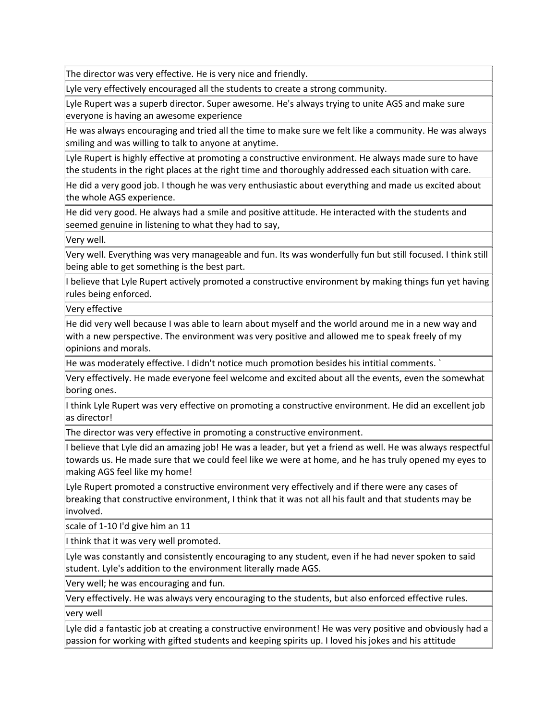The director was very effective. He is very nice and friendly.

Lyle very effectively encouraged all the students to create a strong community.

Lyle Rupert was a superb director. Super awesome. He's always trying to unite AGS and make sure everyone is having an awesome experience

He was always encouraging and tried all the time to make sure we felt like a community. He was always smiling and was willing to talk to anyone at anytime.

Lyle Rupert is highly effective at promoting a constructive environment. He always made sure to have the students in the right places at the right time and thoroughly addressed each situation with care.

He did a very good job. I though he was very enthusiastic about everything and made us excited about the whole AGS experience.

He did very good. He always had a smile and positive attitude. He interacted with the students and seemed genuine in listening to what they had to say,

Very well.

Very well. Everything was very manageable and fun. Its was wonderfully fun but still focused. I think still being able to get something is the best part.

I believe that Lyle Rupert actively promoted a constructive environment by making things fun yet having rules being enforced.

Very effective

He did very well because I was able to learn about myself and the world around me in a new way and with a new perspective. The environment was very positive and allowed me to speak freely of my opinions and morals.

He was moderately effective. I didn't notice much promotion besides his intitial comments. `

Very effectively. He made everyone feel welcome and excited about all the events, even the somewhat boring ones.

I think Lyle Rupert was very effective on promoting a constructive environment. He did an excellent job as director!

The director was very effective in promoting a constructive environment.

I believe that Lyle did an amazing job! He was a leader, but yet a friend as well. He was always respectful towards us. He made sure that we could feel like we were at home, and he has truly opened my eyes to making AGS feel like my home!

Lyle Rupert promoted a constructive environment very effectively and if there were any cases of breaking that constructive environment, I think that it was not all his fault and that students may be involved.

scale of 1-10 I'd give him an 11

I think that it was very well promoted.

Lyle was constantly and consistently encouraging to any student, even if he had never spoken to said student. Lyle's addition to the environment literally made AGS.

Very well; he was encouraging and fun.

Very effectively. He was always very encouraging to the students, but also enforced effective rules.

very well

Lyle did a fantastic job at creating a constructive environment! He was very positive and obviously had a passion for working with gifted students and keeping spirits up. I loved his jokes and his attitude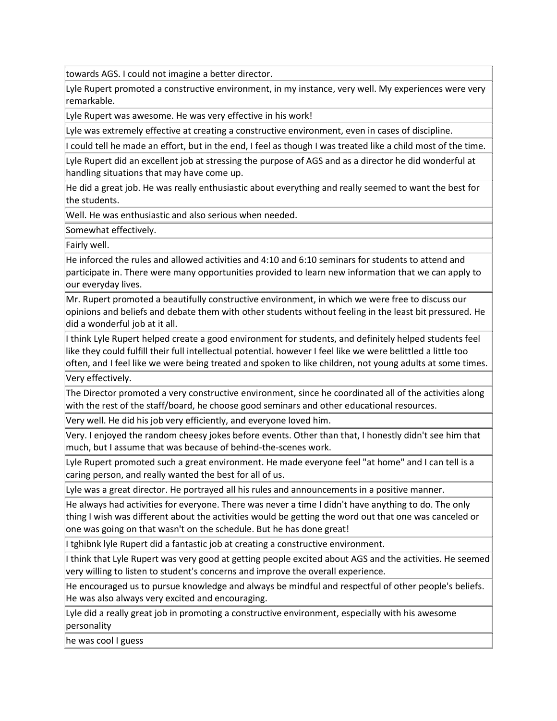towards AGS. I could not imagine a better director.

Lyle Rupert promoted a constructive environment, in my instance, very well. My experiences were very remarkable.

Lyle Rupert was awesome. He was very effective in his work!

Lyle was extremely effective at creating a constructive environment, even in cases of discipline.

I could tell he made an effort, but in the end, I feel as though I was treated like a child most of the time.

Lyle Rupert did an excellent job at stressing the purpose of AGS and as a director he did wonderful at handling situations that may have come up.

He did a great job. He was really enthusiastic about everything and really seemed to want the best for the students.

Well. He was enthusiastic and also serious when needed.

Somewhat effectively.

Fairly well.

He inforced the rules and allowed activities and 4:10 and 6:10 seminars for students to attend and participate in. There were many opportunities provided to learn new information that we can apply to our everyday lives.

Mr. Rupert promoted a beautifully constructive environment, in which we were free to discuss our opinions and beliefs and debate them with other students without feeling in the least bit pressured. He did a wonderful job at it all.

I think Lyle Rupert helped create a good environment for students, and definitely helped students feel like they could fulfill their full intellectual potential. however I feel like we were belittled a little too often, and I feel like we were being treated and spoken to like children, not young adults at some times.

Very effectively.

The Director promoted a very constructive environment, since he coordinated all of the activities along with the rest of the staff/board, he choose good seminars and other educational resources.

Very well. He did his job very efficiently, and everyone loved him.

Very. I enjoyed the random cheesy jokes before events. Other than that, I honestly didn't see him that much, but I assume that was because of behind-the-scenes work.

Lyle Rupert promoted such a great environment. He made everyone feel "at home" and I can tell is a caring person, and really wanted the best for all of us.

Lyle was a great director. He portrayed all his rules and announcements in a positive manner.

He always had activities for everyone. There was never a time I didn't have anything to do. The only thing I wish was different about the activities would be getting the word out that one was canceled or one was going on that wasn't on the schedule. But he has done great!

I tghibnk lyle Rupert did a fantastic job at creating a constructive environment.

I think that Lyle Rupert was very good at getting people excited about AGS and the activities. He seemed very willing to listen to student's concerns and improve the overall experience.

He encouraged us to pursue knowledge and always be mindful and respectful of other people's beliefs. He was also always very excited and encouraging.

Lyle did a really great job in promoting a constructive environment, especially with his awesome personality

he was cool I guess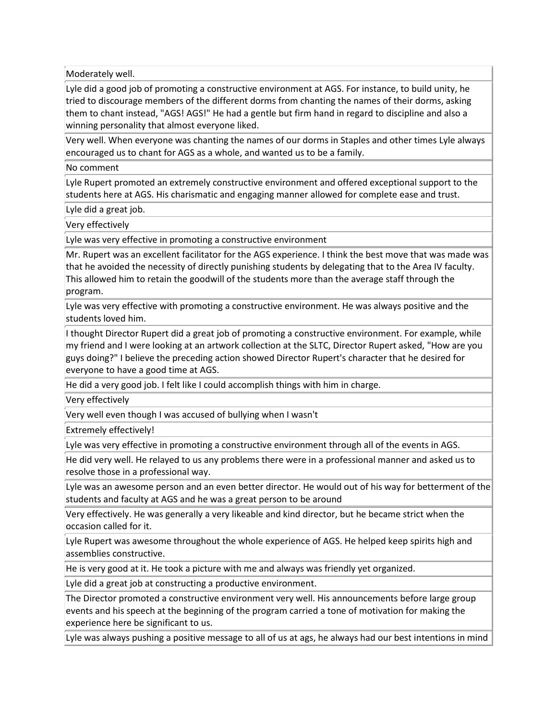Moderately well.

Lyle did a good job of promoting a constructive environment at AGS. For instance, to build unity, he tried to discourage members of the different dorms from chanting the names of their dorms, asking them to chant instead, "AGS! AGS!" He had a gentle but firm hand in regard to discipline and also a winning personality that almost everyone liked.

Very well. When everyone was chanting the names of our dorms in Staples and other times Lyle always encouraged us to chant for AGS as a whole, and wanted us to be a family.

No comment

Lyle Rupert promoted an extremely constructive environment and offered exceptional support to the students here at AGS. His charismatic and engaging manner allowed for complete ease and trust.

Lyle did a great job.

Very effectively

Lyle was very effective in promoting a constructive environment

Mr. Rupert was an excellent facilitator for the AGS experience. I think the best move that was made was that he avoided the necessity of directly punishing students by delegating that to the Area IV faculty. This allowed him to retain the goodwill of the students more than the average staff through the program.

Lyle was very effective with promoting a constructive environment. He was always positive and the students loved him.

I thought Director Rupert did a great job of promoting a constructive environment. For example, while my friend and I were looking at an artwork collection at the SLTC, Director Rupert asked, "How are you guys doing?" I believe the preceding action showed Director Rupert's character that he desired for everyone to have a good time at AGS.

He did a very good job. I felt like I could accomplish things with him in charge.

Very effectively

Very well even though I was accused of bullying when I wasn't

Extremely effectively!

Lyle was very effective in promoting a constructive environment through all of the events in AGS.

He did very well. He relayed to us any problems there were in a professional manner and asked us to resolve those in a professional way.

Lyle was an awesome person and an even better director. He would out of his way for betterment of the students and faculty at AGS and he was a great person to be around

Very effectively. He was generally a very likeable and kind director, but he became strict when the occasion called for it.

Lyle Rupert was awesome throughout the whole experience of AGS. He helped keep spirits high and assemblies constructive.

He is very good at it. He took a picture with me and always was friendly yet organized.

Lyle did a great job at constructing a productive environment.

The Director promoted a constructive environment very well. His announcements before large group events and his speech at the beginning of the program carried a tone of motivation for making the experience here be significant to us.

Lyle was always pushing a positive message to all of us at ags, he always had our best intentions in mind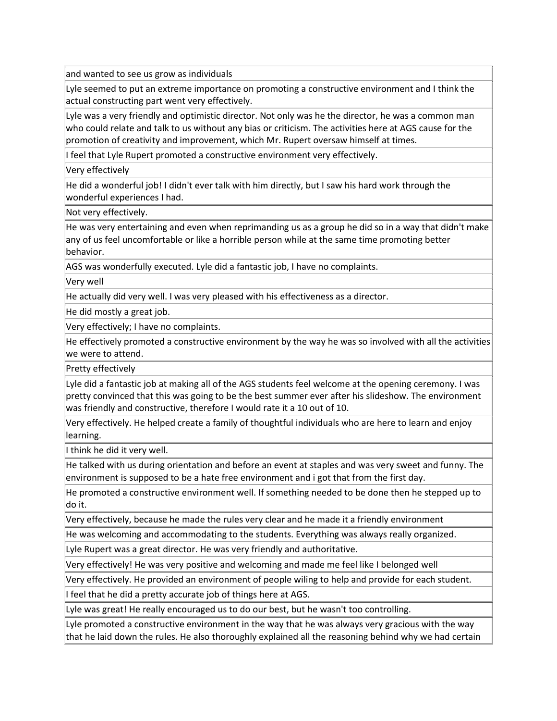and wanted to see us grow as individuals

Lyle seemed to put an extreme importance on promoting a constructive environment and I think the actual constructing part went very effectively.

Lyle was a very friendly and optimistic director. Not only was he the director, he was a common man who could relate and talk to us without any bias or criticism. The activities here at AGS cause for the promotion of creativity and improvement, which Mr. Rupert oversaw himself at times.

I feel that Lyle Rupert promoted a constructive environment very effectively.

Very effectively

He did a wonderful job! I didn't ever talk with him directly, but I saw his hard work through the wonderful experiences I had.

Not very effectively.

He was very entertaining and even when reprimanding us as a group he did so in a way that didn't make any of us feel uncomfortable or like a horrible person while at the same time promoting better behavior.

AGS was wonderfully executed. Lyle did a fantastic job, I have no complaints.

Very well

He actually did very well. I was very pleased with his effectiveness as a director.

He did mostly a great job.

Very effectively; I have no complaints.

He effectively promoted a constructive environment by the way he was so involved with all the activities we were to attend.

Pretty effectively

Lyle did a fantastic job at making all of the AGS students feel welcome at the opening ceremony. I was pretty convinced that this was going to be the best summer ever after his slideshow. The environment was friendly and constructive, therefore I would rate it a 10 out of 10.

Very effectively. He helped create a family of thoughtful individuals who are here to learn and enjoy learning.

I think he did it very well.

He talked with us during orientation and before an event at staples and was very sweet and funny. The environment is supposed to be a hate free environment and i got that from the first day.

He promoted a constructive environment well. If something needed to be done then he stepped up to do it.

Very effectively, because he made the rules very clear and he made it a friendly environment

He was welcoming and accommodating to the students. Everything was always really organized.

Lyle Rupert was a great director. He was very friendly and authoritative.

Very effectively! He was very positive and welcoming and made me feel like I belonged well

Very effectively. He provided an environment of people wiling to help and provide for each student.

I feel that he did a pretty accurate job of things here at AGS.

Lyle was great! He really encouraged us to do our best, but he wasn't too controlling.

Lyle promoted a constructive environment in the way that he was always very gracious with the way that he laid down the rules. He also thoroughly explained all the reasoning behind why we had certain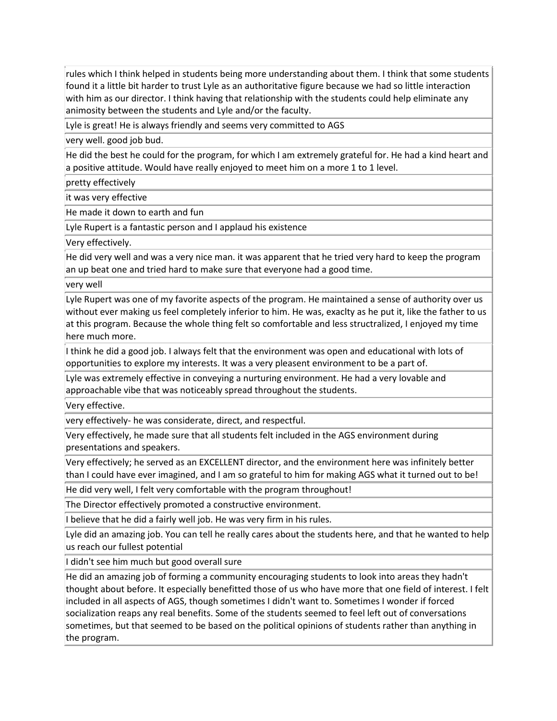rules which I think helped in students being more understanding about them. I think that some students found it a little bit harder to trust Lyle as an authoritative figure because we had so little interaction with him as our director. I think having that relationship with the students could help eliminate any animosity between the students and Lyle and/or the faculty.

Lyle is great! He is always friendly and seems very committed to AGS

very well. good job bud.

He did the best he could for the program, for which I am extremely grateful for. He had a kind heart and a positive attitude. Would have really enjoyed to meet him on a more 1 to 1 level.

pretty effectively

it was very effective

He made it down to earth and fun

Lyle Rupert is a fantastic person and I applaud his existence

Very effectively.

He did very well and was a very nice man. it was apparent that he tried very hard to keep the program an up beat one and tried hard to make sure that everyone had a good time.

very well

Lyle Rupert was one of my favorite aspects of the program. He maintained a sense of authority over us without ever making us feel completely inferior to him. He was, exaclty as he put it, like the father to us at this program. Because the whole thing felt so comfortable and less structralized, I enjoyed my time here much more.

I think he did a good job. I always felt that the environment was open and educational with lots of opportunities to explore my interests. It was a very pleasent environment to be a part of.

Lyle was extremely effective in conveying a nurturing environment. He had a very lovable and approachable vibe that was noticeably spread throughout the students.

Very effective.

very effectively- he was considerate, direct, and respectful.

Very effectively, he made sure that all students felt included in the AGS environment during presentations and speakers.

Very effectively; he served as an EXCELLENT director, and the environment here was infinitely better than I could have ever imagined, and I am so grateful to him for making AGS what it turned out to be!

He did very well, I felt very comfortable with the program throughout!

The Director effectively promoted a constructive environment.

I believe that he did a fairly well job. He was very firm in his rules.

Lyle did an amazing job. You can tell he really cares about the students here, and that he wanted to help us reach our fullest potential

I didn't see him much but good overall sure

He did an amazing job of forming a community encouraging students to look into areas they hadn't thought about before. It especially benefitted those of us who have more that one field of interest. I felt included in all aspects of AGS, though sometimes I didn't want to. Sometimes I wonder if forced socialization reaps any real benefits. Some of the students seemed to feel left out of conversations sometimes, but that seemed to be based on the political opinions of students rather than anything in the program.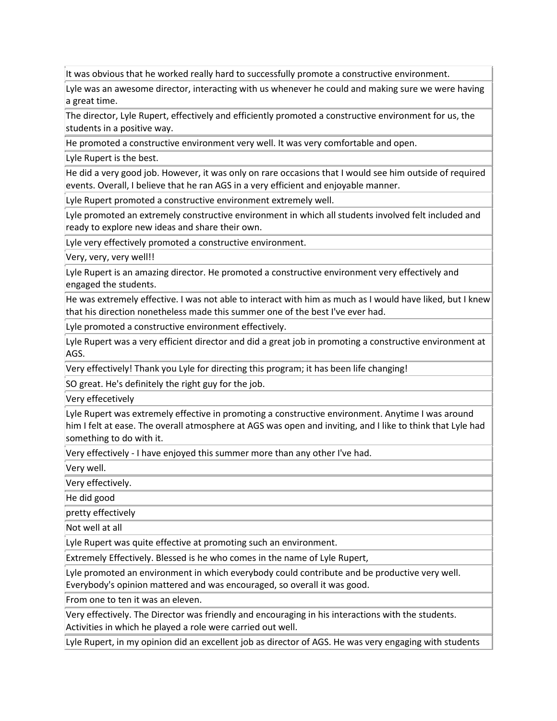It was obvious that he worked really hard to successfully promote a constructive environment.

Lyle was an awesome director, interacting with us whenever he could and making sure we were having a great time.

The director, Lyle Rupert, effectively and efficiently promoted a constructive environment for us, the students in a positive way.

He promoted a constructive environment very well. It was very comfortable and open.

Lyle Rupert is the best.

He did a very good job. However, it was only on rare occasions that I would see him outside of required events. Overall, I believe that he ran AGS in a very efficient and enjoyable manner.

Lyle Rupert promoted a constructive environment extremely well.

Lyle promoted an extremely constructive environment in which all students involved felt included and ready to explore new ideas and share their own.

Lyle very effectively promoted a constructive environment.

Very, very, very well!!

Lyle Rupert is an amazing director. He promoted a constructive environment very effectively and engaged the students.

He was extremely effective. I was not able to interact with him as much as I would have liked, but I knew that his direction nonetheless made this summer one of the best I've ever had.

Lyle promoted a constructive environment effectively.

Lyle Rupert was a very efficient director and did a great job in promoting a constructive environment at AGS.

Very effectively! Thank you Lyle for directing this program; it has been life changing!

SO great. He's definitely the right guy for the job.

Very effecetively

Lyle Rupert was extremely effective in promoting a constructive environment. Anytime I was around him I felt at ease. The overall atmosphere at AGS was open and inviting, and I like to think that Lyle had something to do with it.

Very effectively - I have enjoyed this summer more than any other I've had.

Very well.

Very effectively.

He did good

pretty effectively

Not well at all

Lyle Rupert was quite effective at promoting such an environment.

Extremely Effectively. Blessed is he who comes in the name of Lyle Rupert,

Lyle promoted an environment in which everybody could contribute and be productive very well. Everybody's opinion mattered and was encouraged, so overall it was good.

From one to ten it was an eleven.

Very effectively. The Director was friendly and encouraging in his interactions with the students. Activities in which he played a role were carried out well.

Lyle Rupert, in my opinion did an excellent job as director of AGS. He was very engaging with students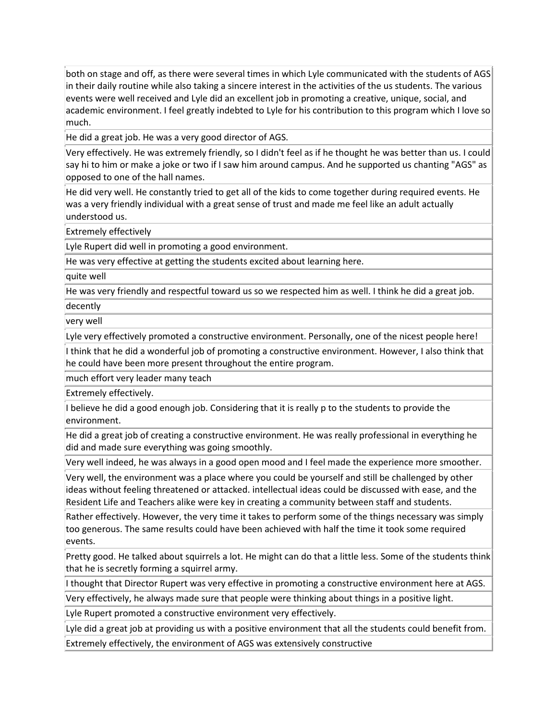both on stage and off, as there were several times in which Lyle communicated with the students of AGS in their daily routine while also taking a sincere interest in the activities of the us students. The various events were well received and Lyle did an excellent job in promoting a creative, unique, social, and academic environment. I feel greatly indebted to Lyle for his contribution to this program which I love so much.

He did a great job. He was a very good director of AGS.

Very effectively. He was extremely friendly, so I didn't feel as if he thought he was better than us. I could say hi to him or make a joke or two if I saw him around campus. And he supported us chanting "AGS" as opposed to one of the hall names.

He did very well. He constantly tried to get all of the kids to come together during required events. He was a very friendly individual with a great sense of trust and made me feel like an adult actually understood us.

Extremely effectively

Lyle Rupert did well in promoting a good environment.

He was very effective at getting the students excited about learning here.

quite well

He was very friendly and respectful toward us so we respected him as well. I think he did a great job.

decently

very well

Lyle very effectively promoted a constructive environment. Personally, one of the nicest people here!

I think that he did a wonderful job of promoting a constructive environment. However, I also think that he could have been more present throughout the entire program.

much effort very leader many teach

Extremely effectively.

I believe he did a good enough job. Considering that it is really p to the students to provide the environment.

He did a great job of creating a constructive environment. He was really professional in everything he did and made sure everything was going smoothly.

Very well indeed, he was always in a good open mood and I feel made the experience more smoother.

Very well, the environment was a place where you could be yourself and still be challenged by other ideas without feeling threatened or attacked. intellectual ideas could be discussed with ease, and the Resident Life and Teachers alike were key in creating a community between staff and students.

Rather effectively. However, the very time it takes to perform some of the things necessary was simply too generous. The same results could have been achieved with half the time it took some required events.

Pretty good. He talked about squirrels a lot. He might can do that a little less. Some of the students think that he is secretly forming a squirrel army.

I thought that Director Rupert was very effective in promoting a constructive environment here at AGS.

Very effectively, he always made sure that people were thinking about things in a positive light.

Lyle Rupert promoted a constructive environment very effectively.

Lyle did a great job at providing us with a positive environment that all the students could benefit from. Extremely effectively, the environment of AGS was extensively constructive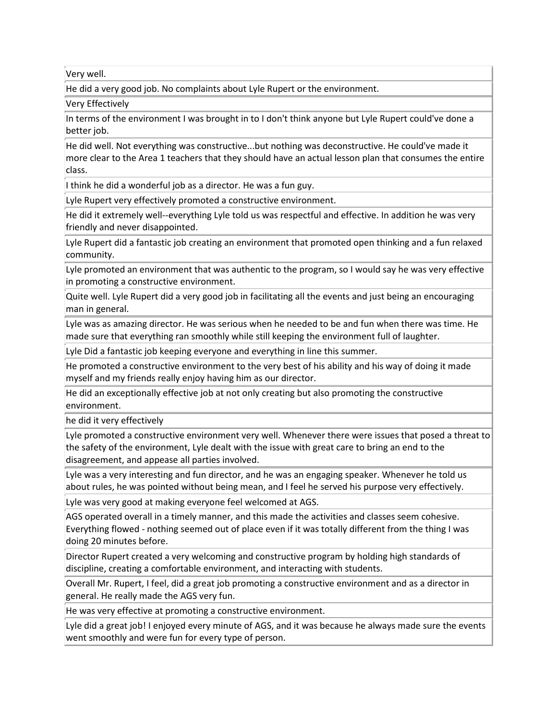Very well.

He did a very good job. No complaints about Lyle Rupert or the environment.

Very Effectively

In terms of the environment I was brought in to I don't think anyone but Lyle Rupert could've done a better job.

He did well. Not everything was constructive...but nothing was deconstructive. He could've made it more clear to the Area 1 teachers that they should have an actual lesson plan that consumes the entire class.

I think he did a wonderful job as a director. He was a fun guy.

Lyle Rupert very effectively promoted a constructive environment.

He did it extremely well--everything Lyle told us was respectful and effective. In addition he was very friendly and never disappointed.

Lyle Rupert did a fantastic job creating an environment that promoted open thinking and a fun relaxed community.

Lyle promoted an environment that was authentic to the program, so I would say he was very effective in promoting a constructive environment.

Quite well. Lyle Rupert did a very good job in facilitating all the events and just being an encouraging man in general.

Lyle was as amazing director. He was serious when he needed to be and fun when there was time. He made sure that everything ran smoothly while still keeping the environment full of laughter.

Lyle Did a fantastic job keeping everyone and everything in line this summer.

He promoted a constructive environment to the very best of his ability and his way of doing it made myself and my friends really enjoy having him as our director.

He did an exceptionally effective job at not only creating but also promoting the constructive environment.

he did it very effectively

Lyle promoted a constructive environment very well. Whenever there were issues that posed a threat to the safety of the environment, Lyle dealt with the issue with great care to bring an end to the disagreement, and appease all parties involved.

Lyle was a very interesting and fun director, and he was an engaging speaker. Whenever he told us about rules, he was pointed without being mean, and I feel he served his purpose very effectively.

Lyle was very good at making everyone feel welcomed at AGS.

AGS operated overall in a timely manner, and this made the activities and classes seem cohesive. Everything flowed - nothing seemed out of place even if it was totally different from the thing I was doing 20 minutes before.

Director Rupert created a very welcoming and constructive program by holding high standards of discipline, creating a comfortable environment, and interacting with students.

Overall Mr. Rupert, I feel, did a great job promoting a constructive environment and as a director in general. He really made the AGS very fun.

He was very effective at promoting a constructive environment.

Lyle did a great job! I enjoyed every minute of AGS, and it was because he always made sure the events went smoothly and were fun for every type of person.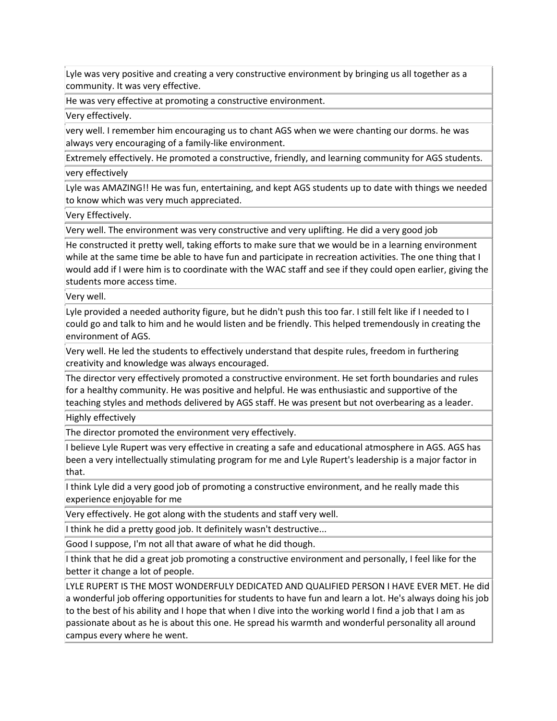Lyle was very positive and creating a very constructive environment by bringing us all together as a community. It was very effective.

He was very effective at promoting a constructive environment.

Very effectively.

very well. I remember him encouraging us to chant AGS when we were chanting our dorms. he was always very encouraging of a family-like environment.

Extremely effectively. He promoted a constructive, friendly, and learning community for AGS students.

very effectively

Lyle was AMAZING!! He was fun, entertaining, and kept AGS students up to date with things we needed to know which was very much appreciated.

Very Effectively.

Very well. The environment was very constructive and very uplifting. He did a very good job

He constructed it pretty well, taking efforts to make sure that we would be in a learning environment while at the same time be able to have fun and participate in recreation activities. The one thing that I would add if I were him is to coordinate with the WAC staff and see if they could open earlier, giving the students more access time.

Very well.

Lyle provided a needed authority figure, but he didn't push this too far. I still felt like if I needed to I could go and talk to him and he would listen and be friendly. This helped tremendously in creating the environment of AGS.

Very well. He led the students to effectively understand that despite rules, freedom in furthering creativity and knowledge was always encouraged.

The director very effectively promoted a constructive environment. He set forth boundaries and rules for a healthy community. He was positive and helpful. He was enthusiastic and supportive of the teaching styles and methods delivered by AGS staff. He was present but not overbearing as a leader.

Highly effectively

The director promoted the environment very effectively.

I believe Lyle Rupert was very effective in creating a safe and educational atmosphere in AGS. AGS has been a very intellectually stimulating program for me and Lyle Rupert's leadership is a major factor in that.

I think Lyle did a very good job of promoting a constructive environment, and he really made this experience enjoyable for me

Very effectively. He got along with the students and staff very well.

I think he did a pretty good job. It definitely wasn't destructive...

Good I suppose, I'm not all that aware of what he did though.

I think that he did a great job promoting a constructive environment and personally, I feel like for the better it change a lot of people.

LYLE RUPERT IS THE MOST WONDERFULY DEDICATED AND QUALIFIED PERSON I HAVE EVER MET. He did a wonderful job offering opportunities for students to have fun and learn a lot. He's always doing his job to the best of his ability and I hope that when I dive into the working world I find a job that I am as passionate about as he is about this one. He spread his warmth and wonderful personality all around campus every where he went.